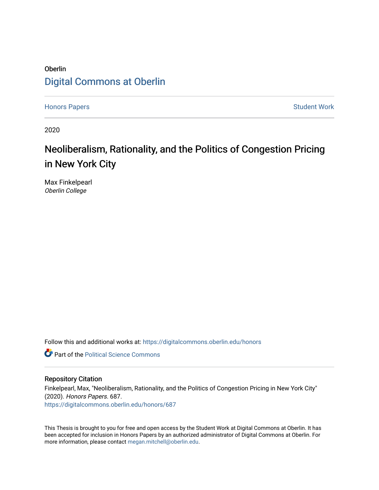## Oberlin [Digital Commons at Oberlin](https://digitalcommons.oberlin.edu/)

[Honors Papers](https://digitalcommons.oberlin.edu/honors) **Student Work** 

2020

# Neoliberalism, Rationality, and the Politics of Congestion Pricing in New York City

Max Finkelpearl Oberlin College

Follow this and additional works at: [https://digitalcommons.oberlin.edu/honors](https://digitalcommons.oberlin.edu/honors?utm_source=digitalcommons.oberlin.edu%2Fhonors%2F687&utm_medium=PDF&utm_campaign=PDFCoverPages) 

**Part of the Political Science Commons** 

#### Repository Citation

Finkelpearl, Max, "Neoliberalism, Rationality, and the Politics of Congestion Pricing in New York City" (2020). Honors Papers. 687. [https://digitalcommons.oberlin.edu/honors/687](https://digitalcommons.oberlin.edu/honors/687?utm_source=digitalcommons.oberlin.edu%2Fhonors%2F687&utm_medium=PDF&utm_campaign=PDFCoverPages) 

This Thesis is brought to you for free and open access by the Student Work at Digital Commons at Oberlin. It has been accepted for inclusion in Honors Papers by an authorized administrator of Digital Commons at Oberlin. For more information, please contact [megan.mitchell@oberlin.edu.](mailto:megan.mitchell@oberlin.edu)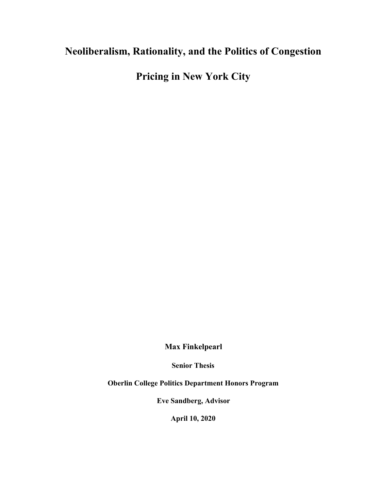## **Neoliberalism, Rationality, and the Politics of Congestion**

**Pricing in New York City**

**Max Finkelpearl**

**Senior Thesis**

**Oberlin College Politics Department Honors Program**

**Eve Sandberg, Advisor**

**April 10, 2020**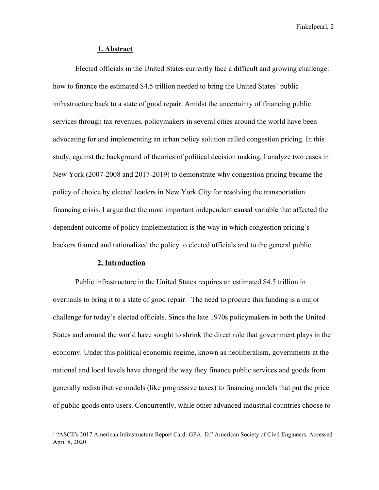#### **1. Abstract**

Elected officials in the United States currently face a difficult and growing challenge: how to finance the estimated \$4.5 trillion needed to bring the United States' public infrastructure back to a state of good repair. Amidst the uncertainty of financing public services through tax revenues, policymakers in several cities around the world have been advocating for and implementing an urban policy solution called congestion pricing. In this study, against the background of theories of political decision making, I analyze two cases in New York (2007-2008 and 2017-2019) to demonstrate why congestion pricing became the policy of choice by elected leaders in New York City for resolving the transportation financing crisis. I argue that the most important independent causal variable that affected the dependent outcome of policy implementation is the way in which congestion pricing's backers framed and rationalized the policy to elected officials and to the general public.

## **2. Introduction**

Public infrastructure in the United States requires an estimated \$4.5 trillion in overhauls to bring it to a state of good repair.<sup>1</sup> The need to procure this funding is a major challenge for today's elected officials. Since the late 1970s policymakers in both the United States and around the world have sought to shrink the direct role that government plays in the economy. Under this political economic regime, known as neoliberalism, governments at the national and local levels have changed the way they finance public services and goods from generally redistributive models (like progressive taxes) to financing models that put the price of public goods onto users. Concurrently, while other advanced industrial countries choose to

<sup>&</sup>lt;sup>1</sup> "ASCE's 2017 American Infrastructure Report Card: GPA: D." American Society of Civil Engineers. Accessed April 8, 2020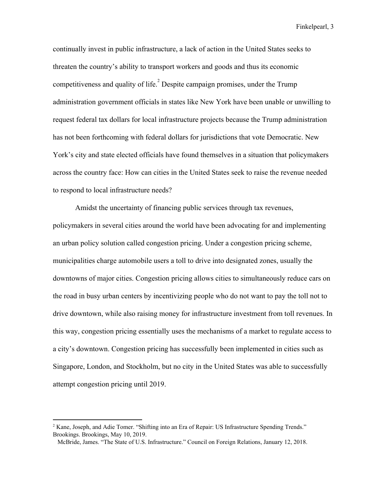continually invest in public infrastructure, a lack of action in the United States seeks to threaten the country's ability to transport workers and goods and thus its economic competitiveness and quality of life.<sup>2</sup> Despite campaign promises, under the Trump administration government officials in states like New York have been unable or unwilling to request federal tax dollars for local infrastructure projects because the Trump administration has not been forthcoming with federal dollars for jurisdictions that vote Democratic. New York's city and state elected officials have found themselves in a situation that policymakers across the country face: How can cities in the United States seek to raise the revenue needed to respond to local infrastructure needs?

Amidst the uncertainty of financing public services through tax revenues, policymakers in several cities around the world have been advocating for and implementing an urban policy solution called congestion pricing. Under a congestion pricing scheme, municipalities charge automobile users a toll to drive into designated zones, usually the downtowns of major cities. Congestion pricing allows cities to simultaneously reduce cars on the road in busy urban centers by incentivizing people who do not want to pay the toll not to drive downtown, while also raising money for infrastructure investment from toll revenues. In this way, congestion pricing essentially uses the mechanisms of a market to regulate access to a city's downtown. Congestion pricing has successfully been implemented in cities such as Singapore, London, and Stockholm, but no city in the United States was able to successfully attempt congestion pricing until 2019.

 $2$  Kane, Joseph, and Adie Tomer. "Shifting into an Era of Repair: US Infrastructure Spending Trends." Brookings. Brookings, May 10, 2019.

McBride, James. "The State of U.S. Infrastructure." Council on Foreign Relations, January 12, 2018.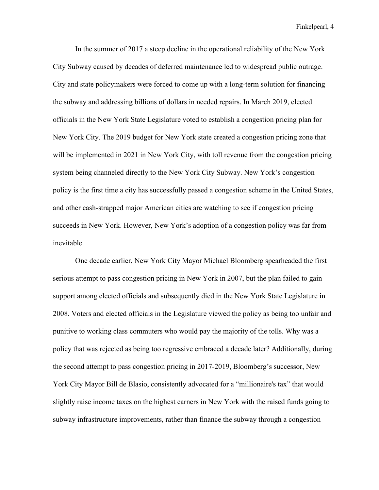In the summer of 2017 a steep decline in the operational reliability of the New York City Subway caused by decades of deferred maintenance led to widespread public outrage. City and state policymakers were forced to come up with a long-term solution for financing the subway and addressing billions of dollars in needed repairs. In March 2019, elected officials in the New York State Legislature voted to establish a congestion pricing plan for New York City. The 2019 budget for New York state created a congestion pricing zone that will be implemented in 2021 in New York City, with toll revenue from the congestion pricing system being channeled directly to the New York City Subway. New York's congestion policy is the first time a city has successfully passed a congestion scheme in the United States, and other cash-strapped major American cities are watching to see if congestion pricing succeeds in New York. However, New York's adoption of a congestion policy was far from inevitable.

One decade earlier, New York City Mayor Michael Bloomberg spearheaded the first serious attempt to pass congestion pricing in New York in 2007, but the plan failed to gain support among elected officials and subsequently died in the New York State Legislature in 2008. Voters and elected officials in the Legislature viewed the policy as being too unfair and punitive to working class commuters who would pay the majority of the tolls. Why was a policy that was rejected as being too regressive embraced a decade later? Additionally, during the second attempt to pass congestion pricing in 2017-2019, Bloomberg's successor, New York City Mayor Bill de Blasio, consistently advocated for a "millionaire's tax" that would slightly raise income taxes on the highest earners in New York with the raised funds going to subway infrastructure improvements, rather than finance the subway through a congestion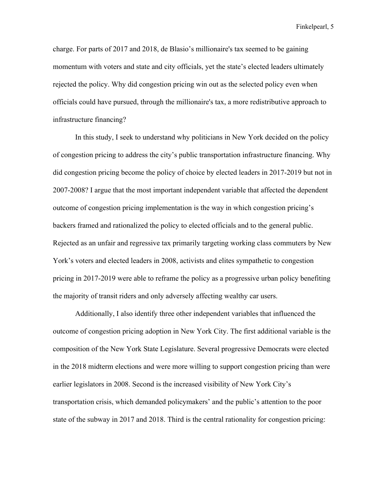charge. For parts of 2017 and 2018, de Blasio's millionaire's tax seemed to be gaining momentum with voters and state and city officials, yet the state's elected leaders ultimately rejected the policy. Why did congestion pricing win out as the selected policy even when officials could have pursued, through the millionaire's tax, a more redistributive approach to infrastructure financing?

In this study, I seek to understand why politicians in New York decided on the policy of congestion pricing to address the city's public transportation infrastructure financing. Why did congestion pricing become the policy of choice by elected leaders in 2017-2019 but not in 2007-2008? I argue that the most important independent variable that affected the dependent outcome of congestion pricing implementation is the way in which congestion pricing's backers framed and rationalized the policy to elected officials and to the general public. Rejected as an unfair and regressive tax primarily targeting working class commuters by New York's voters and elected leaders in 2008, activists and elites sympathetic to congestion pricing in 2017-2019 were able to reframe the policy as a progressive urban policy benefiting the majority of transit riders and only adversely affecting wealthy car users.

Additionally, I also identify three other independent variables that influenced the outcome of congestion pricing adoption in New York City. The first additional variable is the composition of the New York State Legislature. Several progressive Democrats were elected in the 2018 midterm elections and were more willing to support congestion pricing than were earlier legislators in 2008. Second is the increased visibility of New York City's transportation crisis, which demanded policymakers' and the public's attention to the poor state of the subway in 2017 and 2018. Third is the central rationality for congestion pricing: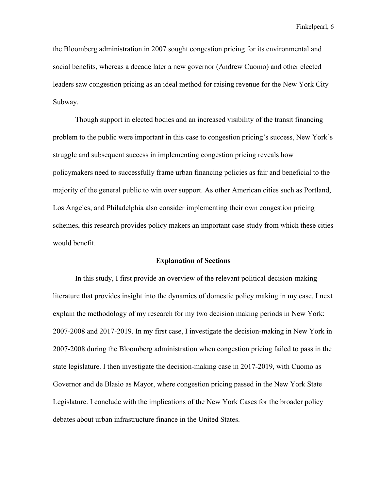the Bloomberg administration in 2007 sought congestion pricing for its environmental and social benefits, whereas a decade later a new governor (Andrew Cuomo) and other elected leaders saw congestion pricing as an ideal method for raising revenue for the New York City Subway.

Though support in elected bodies and an increased visibility of the transit financing problem to the public were important in this case to congestion pricing's success, New York's struggle and subsequent success in implementing congestion pricing reveals how policymakers need to successfully frame urban financing policies as fair and beneficial to the majority of the general public to win over support. As other American cities such as Portland, Los Angeles, and Philadelphia also consider implementing their own congestion pricing schemes, this research provides policy makers an important case study from which these cities would benefit.

#### **Explanation of Sections**

In this study, I first provide an overview of the relevant political decision-making literature that provides insight into the dynamics of domestic policy making in my case. I next explain the methodology of my research for my two decision making periods in New York: 2007-2008 and 2017-2019. In my first case, I investigate the decision-making in New York in 2007-2008 during the Bloomberg administration when congestion pricing failed to pass in the state legislature. I then investigate the decision-making case in 2017-2019, with Cuomo as Governor and de Blasio as Mayor, where congestion pricing passed in the New York State Legislature. I conclude with the implications of the New York Cases for the broader policy debates about urban infrastructure finance in the United States.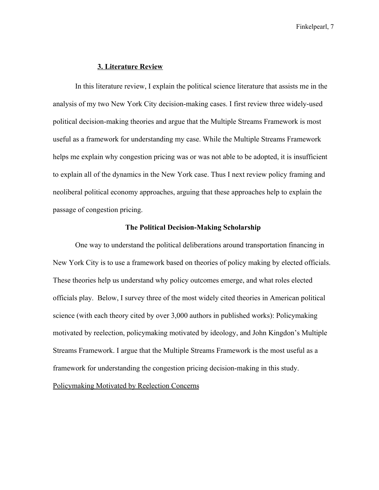#### **3. Literature Review**

In this literature review, I explain the political science literature that assists me in the analysis of my two New York City decision-making cases. I first review three widely-used political decision-making theories and argue that the Multiple Streams Framework is most useful as a framework for understanding my case. While the Multiple Streams Framework helps me explain why congestion pricing was or was not able to be adopted, it is insufficient to explain all of the dynamics in the New York case. Thus I next review policy framing and neoliberal political economy approaches, arguing that these approaches help to explain the passage of congestion pricing.

#### **The Political Decision-Making Scholarship**

One way to understand the political deliberations around transportation financing in New York City is to use a framework based on theories of policy making by elected officials. These theories help us understand why policy outcomes emerge, and what roles elected officials play. Below, I survey three of the most widely cited theories in American political science (with each theory cited by over 3,000 authors in published works): Policymaking motivated by reelection, policymaking motivated by ideology, and John Kingdon's Multiple Streams Framework. I argue that the Multiple Streams Framework is the most useful as a framework for understanding the congestion pricing decision-making in this study.

Policymaking Motivated by Reelection Concerns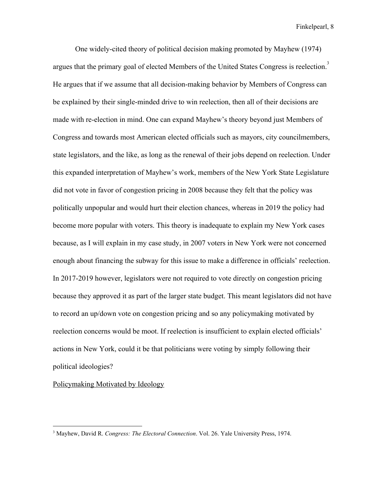One widely-cited theory of political decision making promoted by Mayhew (1974) argues that the primary goal of elected Members of the United States Congress is reelection.<sup>3</sup> He argues that if we assume that all decision-making behavior by Members of Congress can be explained by their single-minded drive to win reelection, then all of their decisions are made with re-election in mind. One can expand Mayhew's theory beyond just Members of Congress and towards most American elected officials such as mayors, city councilmembers, state legislators, and the like, as long as the renewal of their jobs depend on reelection. Under this expanded interpretation of Mayhew's work, members of the New York State Legislature did not vote in favor of congestion pricing in 2008 because they felt that the policy was politically unpopular and would hurt their election chances, whereas in 2019 the policy had become more popular with voters. This theory is inadequate to explain my New York cases because, as I will explain in my case study, in 2007 voters in New York were not concerned enough about financing the subway for this issue to make a difference in officials' reelection. In 2017-2019 however, legislators were not required to vote directly on congestion pricing because they approved it as part of the larger state budget. This meant legislators did not have to record an up/down vote on congestion pricing and so any policymaking motivated by reelection concerns would be moot. If reelection is insufficient to explain elected officials' actions in New York, could it be that politicians were voting by simply following their political ideologies?

Policymaking Motivated by Ideology

<sup>3</sup> Mayhew, David R. *Congress: The Electoral Connection*. Vol. 26. Yale University Press, 1974.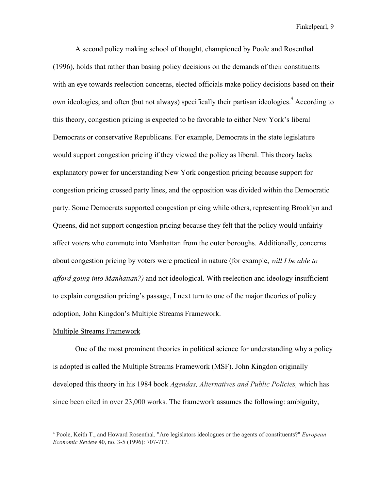A second policy making school of thought, championed by Poole and Rosenthal (1996), holds that rather than basing policy decisions on the demands of their constituents with an eye towards reelection concerns, elected officials make policy decisions based on their own ideologies, and often (but not always) specifically their partisan ideologies.  $4$  According to this theory, congestion pricing is expected to be favorable to either New York's liberal Democrats or conservative Republicans. For example, Democrats in the state legislature would support congestion pricing if they viewed the policy as liberal. This theory lacks explanatory power for understanding New York congestion pricing because support for congestion pricing crossed party lines, and the opposition was divided within the Democratic party. Some Democrats supported congestion pricing while others, representing Brooklyn and Queens, did not support congestion pricing because they felt that the policy would unfairly affect voters who commute into Manhattan from the outer boroughs. Additionally, concerns about congestion pricing by voters were practical in nature (for example, *will I be able to afford going into Manhattan?)* and not ideological. With reelection and ideology insufficient to explain congestion pricing's passage, I next turn to one of the major theories of policy adoption, John Kingdon's Multiple Streams Framework.

#### Multiple Streams Framework

One of the most prominent theories in political science for understanding why a policy is adopted is called the Multiple Streams Framework (MSF). John Kingdon originally developed this theory in his 1984 book *Agendas, Alternatives and Public Policies,* which has since been cited in over 23,000 works. The framework assumes the following: ambiguity,

<sup>4</sup> Poole, Keith T., and Howard Rosenthal. "Are legislators ideologues or the agents of constituents?" *European Economic Review* 40, no. 3-5 (1996): 707-717.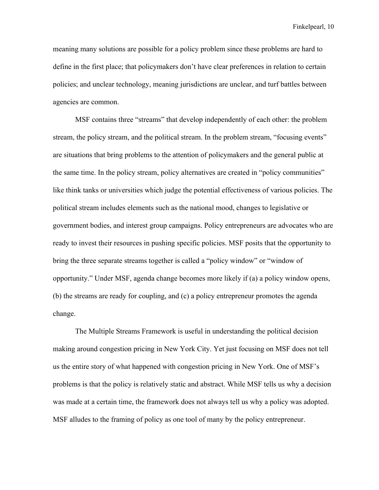meaning many solutions are possible for a policy problem since these problems are hard to define in the first place; that policymakers don't have clear preferences in relation to certain policies; and unclear technology, meaning jurisdictions are unclear, and turf battles between agencies are common.

MSF contains three "streams" that develop independently of each other: the problem stream, the policy stream, and the political stream. In the problem stream, "focusing events" are situations that bring problems to the attention of policymakers and the general public at the same time. In the policy stream, policy alternatives are created in "policy communities" like think tanks or universities which judge the potential effectiveness of various policies. The political stream includes elements such as the national mood, changes to legislative or government bodies, and interest group campaigns. Policy entrepreneurs are advocates who are ready to invest their resources in pushing specific policies. MSF posits that the opportunity to bring the three separate streams together is called a "policy window" or "window of opportunity." Under MSF, agenda change becomes more likely if (a) a policy window opens, (b) the streams are ready for coupling, and (c) a policy entrepreneur promotes the agenda change.

The Multiple Streams Framework is useful in understanding the political decision making around congestion pricing in New York City. Yet just focusing on MSF does not tell us the entire story of what happened with congestion pricing in New York. One of MSF's problems is that the policy is relatively static and abstract. While MSF tells us why a decision was made at a certain time, the framework does not always tell us why a policy was adopted. MSF alludes to the framing of policy as one tool of many by the policy entrepreneur.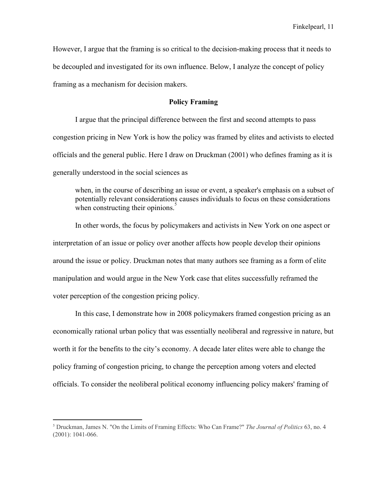However, I argue that the framing is so critical to the decision-making process that it needs to be decoupled and investigated for its own influence. Below, I analyze the concept of policy framing as a mechanism for decision makers.

## **Policy Framing**

I argue that the principal difference between the first and second attempts to pass congestion pricing in New York is how the policy was framed by elites and activists to elected officials and the general public. Here I draw on Druckman (2001) who defines framing as it is generally understood in the social sciences as

when, in the course of describing an issue or event, a speaker's emphasis on a subset of potentially relevant considerations causes individuals to focus on these considerations when constructing their opinions.

In other words, the focus by policymakers and activists in New York on one aspect or interpretation of an issue or policy over another affects how people develop their opinions around the issue or policy. Druckman notes that many authors see framing as a form of elite manipulation and would argue in the New York case that elites successfully reframed the voter perception of the congestion pricing policy.

In this case, I demonstrate how in 2008 policymakers framed congestion pricing as an economically rational urban policy that was essentially neoliberal and regressive in nature, but worth it for the benefits to the city's economy. A decade later elites were able to change the policy framing of congestion pricing, to change the perception among voters and elected officials. To consider the neoliberal political economy influencing policy makers' framing of

<sup>5</sup> Druckman, James N. "On the Limits of Framing Effects: Who Can Frame?" *The Journal of Politics* 63, no. 4 (2001): 1041-066.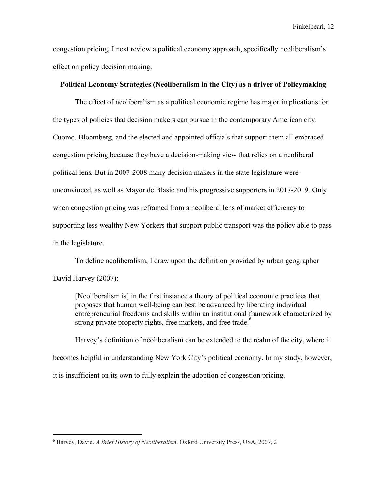congestion pricing, I next review a political economy approach, specifically neoliberalism's effect on policy decision making.

## **Political Economy Strategies (Neoliberalism in the City) as a driver of Policymaking**

The effect of neoliberalism as a political economic regime has major implications for the types of policies that decision makers can pursue in the contemporary American city. Cuomo, Bloomberg, and the elected and appointed officials that support them all embraced congestion pricing because they have a decision-making view that relies on a neoliberal political lens. But in 2007-2008 many decision makers in the state legislature were unconvinced, as well as Mayor de Blasio and his progressive supporters in 2017-2019. Only when congestion pricing was reframed from a neoliberal lens of market efficiency to supporting less wealthy New Yorkers that support public transport was the policy able to pass in the legislature.

To define neoliberalism, I draw upon the definition provided by urban geographer David Harvey (2007):

[Neoliberalism is] in the first instance a theory of political economic practices that proposes that human well-being can best be advanced by liberating individual entrepreneurial freedoms and skills within an institutional framework characterized by strong private property rights, free markets, and free trade.<sup>6</sup>

Harvey's definition of neoliberalism can be extended to the realm of the city, where it becomes helpful in understanding New York City's political economy. In my study, however, it is insufficient on its own to fully explain the adoption of congestion pricing.

<sup>6</sup> Harvey, David. *A Brief History of Neoliberalism*. Oxford University Press, USA, 2007, 2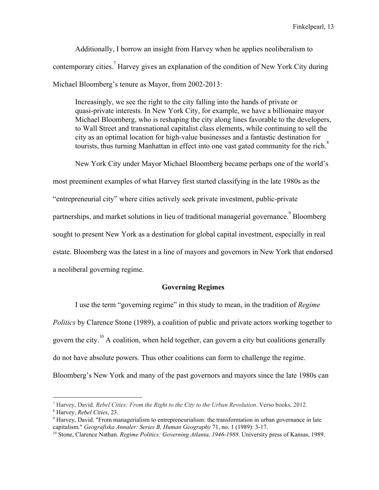Additionally, I borrow an insight from Harvey when he applies neoliberalism to contemporary cities.<sup>7</sup> Harvey gives an explanation of the condition of New York City during Michael Bloomberg's tenure as Mayor, from 2002-2013:

Increasingly, we see the right to the city falling into the hands of private or quasi-private interests. In New York City, for example, we have a billionaire mayor Michael Bloomberg, who is reshaping the city along lines favorable to the developers, to Wall Street and transnational capitalist class elements, while continuing to sell the city as an optimal location for high-value businesses and a fantastic destination for tourists, thus turning Manhattan in effect into one vast gated community for the rich.<sup>8</sup>

New York City under Mayor Michael Bloomberg became perhaps one of the world's

most preeminent examples of what Harvey first started classifying in the late 1980s as the

"entrepreneurial city" where cities actively seek private investment, public-private

partnerships, and market solutions in lieu of traditional managerial governance. Bloomberg

sought to present New York as a destination for global capital investment, especially in real

estate. Bloomberg was the latest in a line of mayors and governors in New York that endorsed

a neoliberal governing regime.

## **Governing Regimes**

I use the term "governing regime" in this study to mean, in the tradition of *Regime Politics* by Clarence Stone (1989), a coalition of public and private actors working together to govern the city.<sup>10</sup> A coalition, when held together, can govern a city but coalitions generally do not have absolute powers. Thus other coalitions can form to challenge the regime. Bloomberg's New York and many of the past governors and mayors since the late 1980s can

<sup>7</sup> Harvey, David. *Rebel Cities: From the Right to the City to the Urban Revolution*. Verso books, 2012.

<sup>8</sup> Harvey, *Rebel Cities*, 23.

<sup>9</sup> Harvey, David. "From managerialism to entrepreneurialism: the transformation in urban governance in late capitalism." *Geografiska Annaler: Series B, Human Geography* 71, no. 1 (1989): 3-17.

<sup>10</sup> Stone, Clarence Nathan. *Regime Politics: Governing Atlanta, 1946-1988*. University press of Kansas, 1989.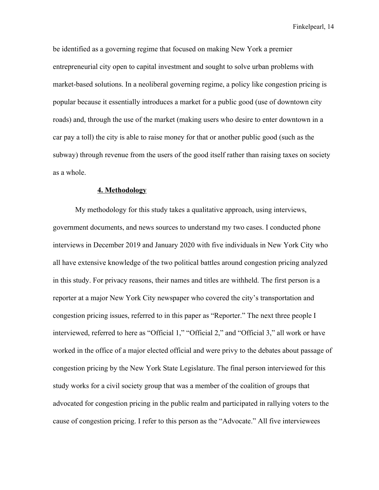be identified as a governing regime that focused on making New York a premier entrepreneurial city open to capital investment and sought to solve urban problems with market-based solutions. In a neoliberal governing regime, a policy like congestion pricing is popular because it essentially introduces a market for a public good (use of downtown city roads) and, through the use of the market (making users who desire to enter downtown in a car pay a toll) the city is able to raise money for that or another public good (such as the subway) through revenue from the users of the good itself rather than raising taxes on society as a whole.

## **4. Methodology**

My methodology for this study takes a qualitative approach, using interviews, government documents, and news sources to understand my two cases. I conducted phone interviews in December 2019 and January 2020 with five individuals in New York City who all have extensive knowledge of the two political battles around congestion pricing analyzed in this study. For privacy reasons, their names and titles are withheld. The first person is a reporter at a major New York City newspaper who covered the city's transportation and congestion pricing issues, referred to in this paper as "Reporter." The next three people I interviewed, referred to here as "Official 1," "Official 2," and "Official 3," all work or have worked in the office of a major elected official and were privy to the debates about passage of congestion pricing by the New York State Legislature. The final person interviewed for this study works for a civil society group that was a member of the coalition of groups that advocated for congestion pricing in the public realm and participated in rallying voters to the cause of congestion pricing. I refer to this person as the "Advocate." All five interviewees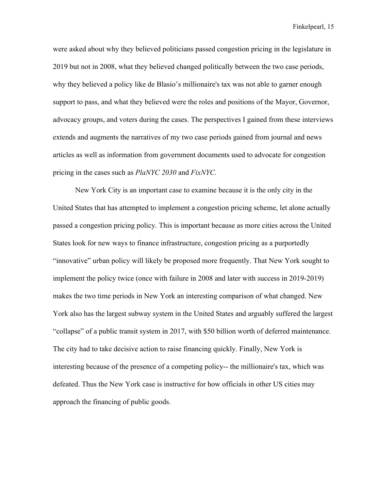were asked about why they believed politicians passed congestion pricing in the legislature in 2019 but not in 2008, what they believed changed politically between the two case periods, why they believed a policy like de Blasio's millionaire's tax was not able to garner enough support to pass, and what they believed were the roles and positions of the Mayor, Governor, advocacy groups, and voters during the cases. The perspectives I gained from these interviews extends and augments the narratives of my two case periods gained from journal and news articles as well as information from government documents used to advocate for congestion pricing in the cases such as *PlaNYC 2030* and *FixNYC.*

New York City is an important case to examine because it is the only city in the United States that has attempted to implement a congestion pricing scheme, let alone actually passed a congestion pricing policy. This is important because as more cities across the United States look for new ways to finance infrastructure, congestion pricing as a purportedly "innovative" urban policy will likely be proposed more frequently. That New York sought to implement the policy twice (once with failure in 2008 and later with success in 2019-2019) makes the two time periods in New York an interesting comparison of what changed. New York also has the largest subway system in the United States and arguably suffered the largest "collapse" of a public transit system in 2017, with \$50 billion worth of deferred maintenance. The city had to take decisive action to raise financing quickly. Finally, New York is interesting because of the presence of a competing policy-- the millionaire's tax, which was defeated. Thus the New York case is instructive for how officials in other US cities may approach the financing of public goods.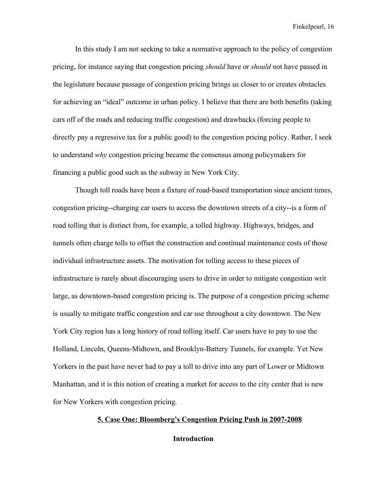In this study I am not seeking to take a normative approach to the policy of congestion pricing, for instance saying that congestion pricing *should* have or *should* not have passed in the legislature because passage of congestion pricing brings us closer to or creates obstacles for achieving an "ideal" outcome in urban policy. I believe that there are both benefits (taking cars off of the roads and reducing traffic congestion) and drawbacks (forcing people to directly pay a regressive tax for a public good) to the congestion pricing policy. Rather, I seek to understand *why* congestion pricing became the consensus among policymakers for financing a public good such as the subway in New York City.

Though toll roads have been a fixture of road-based transportation since ancient times, congestion pricing--charging car users to access the downtown streets of a city--is a form of road tolling that is distinct from, for example, a tolled highway. Highways, bridges, and tunnels often charge tolls to offset the construction and continual maintenance costs of those individual infrastructure assets. The motivation for tolling access to these pieces of infrastructure is rarely about discouraging users to drive in order to mitigate congestion writ large, as downtown-based congestion pricing is. The purpose of a congestion pricing scheme is usually to mitigate traffic congestion and car use throughout a city downtown. The New York City region has a long history of road tolling itself. Car users have to pay to use the Holland, Lincoln, Queens-Midtown, and Brooklyn-Battery Tunnels, for example. Yet New Yorkers in the past have never had to pay a toll to drive into any part of Lower or Midtown Manhattan, and it is this notion of creating a market for access to the city center that is new for New Yorkers with congestion pricing.

## **5. Case One: Bloomberg's Congestion Pricing Push in 2007-2008**

**Introduction**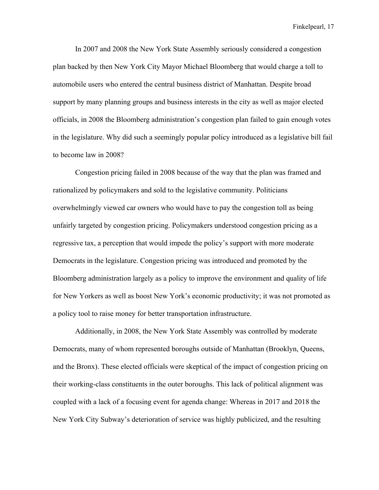In 2007 and 2008 the New York State Assembly seriously considered a congestion plan backed by then New York City Mayor Michael Bloomberg that would charge a toll to automobile users who entered the central business district of Manhattan. Despite broad support by many planning groups and business interests in the city as well as major elected officials, in 2008 the Bloomberg administration's congestion plan failed to gain enough votes in the legislature. Why did such a seemingly popular policy introduced as a legislative bill fail to become law in 2008?

Congestion pricing failed in 2008 because of the way that the plan was framed and rationalized by policymakers and sold to the legislative community. Politicians overwhelmingly viewed car owners who would have to pay the congestion toll as being unfairly targeted by congestion pricing. Policymakers understood congestion pricing as a regressive tax, a perception that would impede the policy's support with more moderate Democrats in the legislature. Congestion pricing was introduced and promoted by the Bloomberg administration largely as a policy to improve the environment and quality of life for New Yorkers as well as boost New York's economic productivity; it was not promoted as a policy tool to raise money for better transportation infrastructure.

Additionally, in 2008, the New York State Assembly was controlled by moderate Democrats, many of whom represented boroughs outside of Manhattan (Brooklyn, Queens, and the Bronx). These elected officials were skeptical of the impact of congestion pricing on their working-class constituents in the outer boroughs. This lack of political alignment was coupled with a lack of a focusing event for agenda change: Whereas in 2017 and 2018 the New York City Subway's deterioration of service was highly publicized, and the resulting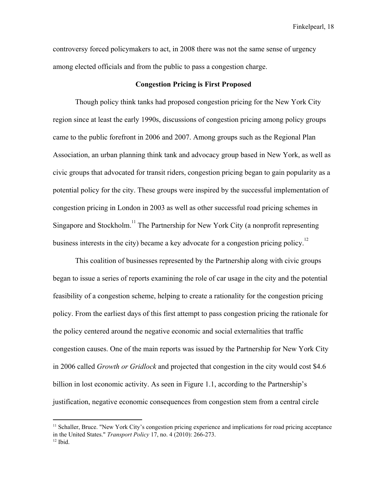controversy forced policymakers to act, in 2008 there was not the same sense of urgency among elected officials and from the public to pass a congestion charge.

#### **Congestion Pricing is First Proposed**

Though policy think tanks had proposed congestion pricing for the New York City region since at least the early 1990s, discussions of congestion pricing among policy groups came to the public forefront in 2006 and 2007. Among groups such as the Regional Plan Association, an urban planning think tank and advocacy group based in New York, as well as civic groups that advocated for transit riders, congestion pricing began to gain popularity as a potential policy for the city. These groups were inspired by the successful implementation of congestion pricing in London in 2003 as well as other successful road pricing schemes in Singapore and Stockholm.<sup>11</sup> The Partnership for New York City (a nonprofit representing business interests in the city) became a key advocate for a congestion pricing policy.<sup>12</sup>

This coalition of businesses represented by the Partnership along with civic groups began to issue a series of reports examining the role of car usage in the city and the potential feasibility of a congestion scheme, helping to create a rationality for the congestion pricing policy. From the earliest days of this first attempt to pass congestion pricing the rationale for the policy centered around the negative economic and social externalities that traffic congestion causes. One of the main reports was issued by the Partnership for New York City in 2006 called *Growth or Gridlock* and projected that congestion in the city would cost \$4.6 billion in lost economic activity. As seen in Figure 1.1, according to the Partnership's justification, negative economic consequences from congestion stem from a central circle

<sup>&</sup>lt;sup>11</sup> Schaller, Bruce. "New York City's congestion pricing experience and implications for road pricing acceptance in the United States." *Transport Policy* 17, no. 4 (2010): 266-273.

 $12$  Ibid.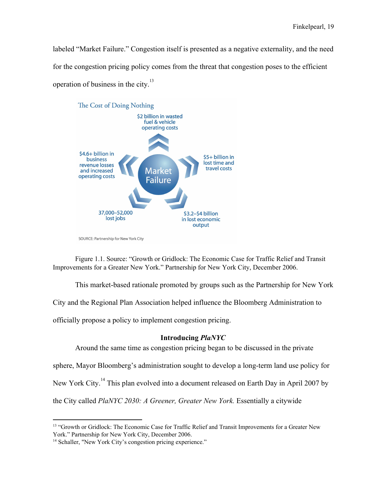labeled "Market Failure." Congestion itself is presented as a negative externality, and the need for the congestion pricing policy comes from the threat that congestion poses to the efficient operation of business in the city.<sup>13</sup>



SOURCE: Partnership for New York City

Figure 1.1. Source: "Growth or Gridlock: The Economic Case for Traffic Relief and Transit Improvements for a Greater New York." Partnership for New York City, December 2006.

This market-based rationale promoted by groups such as the Partnership for New York

City and the Regional Plan Association helped influence the Bloomberg Administration to

officially propose a policy to implement congestion pricing.

## **Introducing** *PlaNYC*

Around the same time as congestion pricing began to be discussed in the private

sphere, Mayor Bloomberg's administration sought to develop a long-term land use policy for

New York City.<sup>14</sup> This plan evolved into a document released on Earth Day in April 2007 by

the City called *PlaNYC 2030: A Greener, Greater New York.* Essentially a citywide

<sup>&</sup>lt;sup>13</sup> "Growth or Gridlock: The Economic Case for Traffic Relief and Transit Improvements for a Greater New York." Partnership for New York City, December 2006.

<sup>&</sup>lt;sup>14</sup> Schaller, "New York City's congestion pricing experience."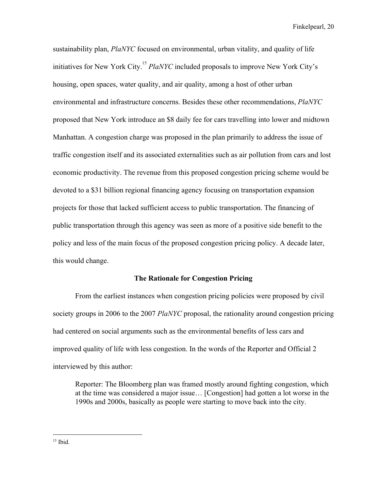sustainability plan, *PlaNYC* focused on environmental, urban vitality, and quality of life initiatives for New York City.<sup>15</sup> PlaNYC included proposals to improve New York City's housing, open spaces, water quality, and air quality, among a host of other urban environmental and infrastructure concerns. Besides these other recommendations, *PlaNYC* proposed that New York introduce an \$8 daily fee for cars travelling into lower and midtown Manhattan. A congestion charge was proposed in the plan primarily to address the issue of traffic congestion itself and its associated externalities such as air pollution from cars and lost economic productivity. The revenue from this proposed congestion pricing scheme would be devoted to a \$31 billion regional financing agency focusing on transportation expansion projects for those that lacked sufficient access to public transportation. The financing of public transportation through this agency was seen as more of a positive side benefit to the policy and less of the main focus of the proposed congestion pricing policy. A decade later, this would change.

## **The Rationale for Congestion Pricing**

From the earliest instances when congestion pricing policies were proposed by civil society groups in 2006 to the 2007 *PlaNYC* proposal, the rationality around congestion pricing had centered on social arguments such as the environmental benefits of less cars and improved quality of life with less congestion. In the words of the Reporter and Official 2 interviewed by this author:

Reporter: The Bloomberg plan was framed mostly around fighting congestion, which at the time was considered a major issue… [Congestion] had gotten a lot worse in the 1990s and 2000s, basically as people were starting to move back into the city.

 $15$  Ibid.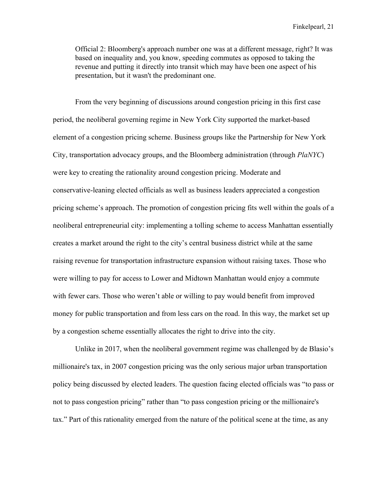Official 2: Bloomberg's approach number one was at a different message, right? It was based on inequality and, you know, speeding commutes as opposed to taking the revenue and putting it directly into transit which may have been one aspect of his presentation, but it wasn't the predominant one.

From the very beginning of discussions around congestion pricing in this first case period, the neoliberal governing regime in New York City supported the market-based element of a congestion pricing scheme. Business groups like the Partnership for New York City, transportation advocacy groups, and the Bloomberg administration (through *PlaNYC*) were key to creating the rationality around congestion pricing. Moderate and conservative-leaning elected officials as well as business leaders appreciated a congestion pricing scheme's approach. The promotion of congestion pricing fits well within the goals of a neoliberal entrepreneurial city: implementing a tolling scheme to access Manhattan essentially creates a market around the right to the city's central business district while at the same raising revenue for transportation infrastructure expansion without raising taxes. Those who were willing to pay for access to Lower and Midtown Manhattan would enjoy a commute with fewer cars. Those who weren't able or willing to pay would benefit from improved money for public transportation and from less cars on the road. In this way, the market set up by a congestion scheme essentially allocates the right to drive into the city.

Unlike in 2017, when the neoliberal government regime was challenged by de Blasio's millionaire's tax, in 2007 congestion pricing was the only serious major urban transportation policy being discussed by elected leaders. The question facing elected officials was "to pass or not to pass congestion pricing" rather than "to pass congestion pricing or the millionaire's tax." Part of this rationality emerged from the nature of the political scene at the time, as any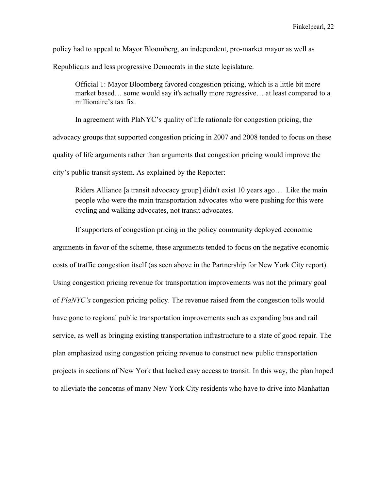policy had to appeal to Mayor Bloomberg, an independent, pro-market mayor as well as

Republicans and less progressive Democrats in the state legislature.

Official 1: Mayor Bloomberg favored congestion pricing, which is a little bit more market based… some would say it's actually more regressive… at least compared to a millionaire's tax fix.

In agreement with PlaNYC's quality of life rationale for congestion pricing, the advocacy groups that supported congestion pricing in 2007 and 2008 tended to focus on these quality of life arguments rather than arguments that congestion pricing would improve the city's public transit system. As explained by the Reporter:

Riders Alliance [a transit advocacy group] didn't exist 10 years ago… Like the main people who were the main transportation advocates who were pushing for this were cycling and walking advocates, not transit advocates.

If supporters of congestion pricing in the policy community deployed economic arguments in favor of the scheme, these arguments tended to focus on the negative economic costs of traffic congestion itself (as seen above in the Partnership for New York City report). Using congestion pricing revenue for transportation improvements was not the primary goal of *PlaNYC's* congestion pricing policy. The revenue raised from the congestion tolls would have gone to regional public transportation improvements such as expanding bus and rail service, as well as bringing existing transportation infrastructure to a state of good repair. The plan emphasized using congestion pricing revenue to construct new public transportation projects in sections of New York that lacked easy access to transit. In this way, the plan hoped to alleviate the concerns of many New York City residents who have to drive into Manhattan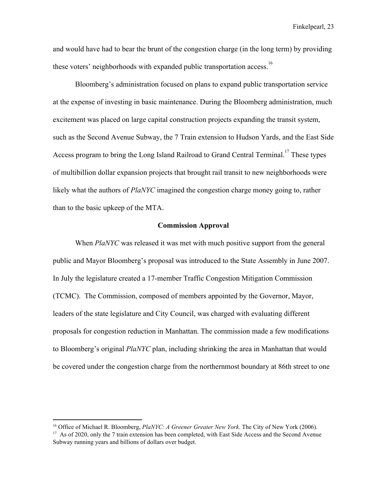and would have had to bear the brunt of the congestion charge (in the long term) by providing these voters' neighborhoods with expanded public transportation access.<sup>16</sup>

Bloomberg's administration focused on plans to expand public transportation service at the expense of investing in basic maintenance. During the Bloomberg administration, much excitement was placed on large capital construction projects expanding the transit system, such as the Second Avenue Subway, the 7 Train extension to Hudson Yards, and the East Side Access program to bring the Long Island Railroad to Grand Central Terminal.<sup>17</sup> These types of multibillion dollar expansion projects that brought rail transit to new neighborhoods were likely what the authors of *PlaNYC* imagined the congestion charge money going to, rather than to the basic upkeep of the MTA.

### **Commission Approval**

When *PlaNYC* was released it was met with much positive support from the general public and Mayor Bloomberg's proposal was introduced to the State Assembly in June 2007. In July the legislature created a 17-member Traffic Congestion Mitigation Commission (TCMC). The Commission, composed of members appointed by the Governor, Mayor, leaders of the state legislature and City Council, was charged with evaluating different proposals for congestion reduction in Manhattan. The commission made a few modifications to Bloomberg's original *PlaNYC* plan, including shrinking the area in Manhattan that would be covered under the congestion charge from the northernmost boundary at 86th street to one

<sup>16</sup> Office of Michael R. Bloomberg, *PlaNYC: A Greener Greater New York*. The City of New York (2006).

<sup>&</sup>lt;sup>17</sup> As of 2020, only the 7 train extension has been completed, with East Side Access and the Second Avenue Subway running years and billions of dollars over budget.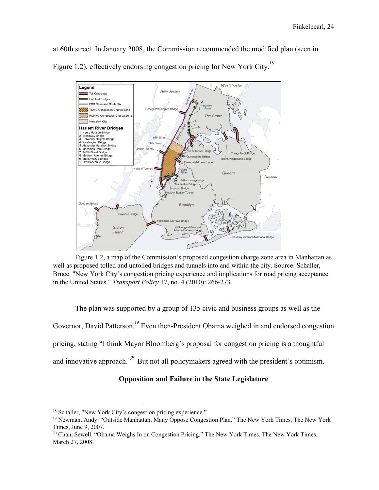at 60th street. In January 2008, the Commission recommended the modified plan (seen in Figure 1.2), effectively endorsing congestion pricing for New York City.<sup>18</sup>



Figure 1.2, a map of the Commission's proposed congestion charge zone area in Manhattan as well as proposed tolled and untolled bridges and tunnels into and within the city. Source: Schaller, Bruce. "New York City's congestion pricing experience and implications for road pricing acceptance in the United States." *Transport Policy* 17, no. 4 (2010): 266-273.

The plan was supported by a group of 135 civic and business groups as well as the Governor, David Patterson.<sup>19</sup> Even then-President Obama weighed in and endorsed congestion pricing, stating "I think Mayor Bloomberg's proposal for congestion pricing is a thoughtful and innovative approach."<sup>20</sup> But not all policymakers agreed with the president's optimism.

## **Opposition and Failure in the State Legislature**

<sup>&</sup>lt;sup>18</sup> Schaller, "New York City's congestion pricing experience."

<sup>19</sup> Newman, Andy. "Outside Manhattan, Many Oppose Congestion Plan." The New York Times. The New York Times, June 9, 2007.

<sup>&</sup>lt;sup>20</sup> Chan, Sewell. "Obama Weighs In on Congestion Pricing." The New York Times. The New York Times, March 27, 2008.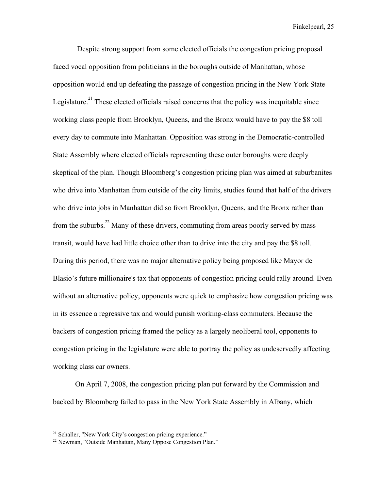Despite strong support from some elected officials the congestion pricing proposal faced vocal opposition from politicians in the boroughs outside of Manhattan, whose opposition would end up defeating the passage of congestion pricing in the New York State Legislature.<sup>21</sup> These elected officials raised concerns that the policy was inequitable since working class people from Brooklyn, Queens, and the Bronx would have to pay the \$8 toll every day to commute into Manhattan. Opposition was strong in the Democratic-controlled State Assembly where elected officials representing these outer boroughs were deeply skeptical of the plan. Though Bloomberg's congestion pricing plan was aimed at suburbanites who drive into Manhattan from outside of the city limits, studies found that half of the drivers who drive into jobs in Manhattan did so from Brooklyn, Queens, and the Bronx rather than from the suburbs.<sup>22</sup> Many of these drivers, commuting from areas poorly served by mass transit, would have had little choice other than to drive into the city and pay the \$8 toll. During this period, there was no major alternative policy being proposed like Mayor de Blasio's future millionaire's tax that opponents of congestion pricing could rally around. Even without an alternative policy, opponents were quick to emphasize how congestion pricing was in its essence a regressive tax and would punish working-class commuters. Because the backers of congestion pricing framed the policy as a largely neoliberal tool, opponents to congestion pricing in the legislature were able to portray the policy as undeservedly affecting working class car owners.

On April 7, 2008, the congestion pricing plan put forward by the Commission and backed by Bloomberg failed to pass in the New York State Assembly in Albany, which

<sup>&</sup>lt;sup>21</sup> Schaller, "New York City's congestion pricing experience."

<sup>22</sup> Newman, "Outside Manhattan, Many Oppose Congestion Plan."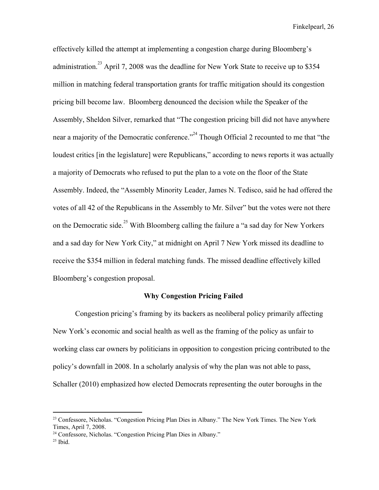effectively killed the attempt at implementing a congestion charge during Bloomberg's administration.<sup>23</sup> April 7, 2008 was the deadline for New York State to receive up to \$354 million in matching federal transportation grants for traffic mitigation should its congestion pricing bill become law. Bloomberg denounced the decision while the Speaker of the Assembly, Sheldon Silver, remarked that "The congestion pricing bill did not have anywhere near a majority of the Democratic conference."<sup>24</sup> Though Official 2 recounted to me that "the loudest critics [in the legislature] were Republicans," according to news reports it was actually a majority of Democrats who refused to put the plan to a vote on the floor of the State Assembly. Indeed, the "Assembly Minority Leader, James N. Tedisco, said he had offered the votes of all 42 of the Republicans in the Assembly to Mr. Silver" but the votes were not there on the Democratic side.<sup>25</sup> With Bloomberg calling the failure a "a sad day for New Yorkers" and a sad day for New York City," at midnight on April 7 New York missed its deadline to receive the \$354 million in federal matching funds. The missed deadline effectively killed Bloomberg's congestion proposal.

## **Why Congestion Pricing Failed**

Congestion pricing's framing by its backers as neoliberal policy primarily affecting New York's economic and social health as well as the framing of the policy as unfair to working class car owners by politicians in opposition to congestion pricing contributed to the policy's downfall in 2008. In a scholarly analysis of why the plan was not able to pass, Schaller (2010) emphasized how elected Democrats representing the outer boroughs in the

<sup>&</sup>lt;sup>23</sup> Confessore, Nicholas. "Congestion Pricing Plan Dies in Albany." The New York Times. The New York Times, April 7, 2008.

<sup>24</sup> Confessore, Nicholas. "Congestion Pricing Plan Dies in Albany."

 $25$  Ibid.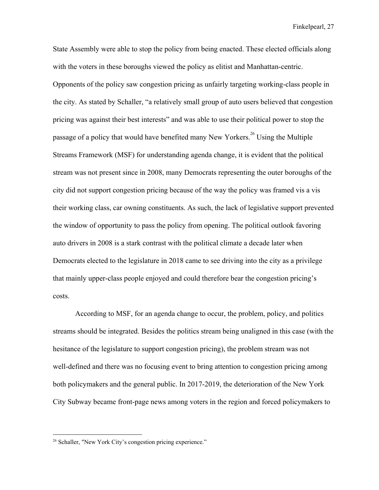State Assembly were able to stop the policy from being enacted. These elected officials along with the voters in these boroughs viewed the policy as elitist and Manhattan-centric. Opponents of the policy saw congestion pricing as unfairly targeting working-class people in the city. As stated by Schaller, "a relatively small group of auto users believed that congestion pricing was against their best interests" and was able to use their political power to stop the passage of a policy that would have benefited many New Yorkers.<sup>26</sup> Using the Multiple Streams Framework (MSF) for understanding agenda change, it is evident that the political stream was not present since in 2008, many Democrats representing the outer boroughs of the city did not support congestion pricing because of the way the policy was framed vis a vis their working class, car owning constituents. As such, the lack of legislative support prevented the window of opportunity to pass the policy from opening. The political outlook favoring auto drivers in 2008 is a stark contrast with the political climate a decade later when Democrats elected to the legislature in 2018 came to see driving into the city as a privilege that mainly upper-class people enjoyed and could therefore bear the congestion pricing's costs.

According to MSF, for an agenda change to occur, the problem, policy, and politics streams should be integrated. Besides the politics stream being unaligned in this case (with the hesitance of the legislature to support congestion pricing), the problem stream was not well-defined and there was no focusing event to bring attention to congestion pricing among both policymakers and the general public. In 2017-2019, the deterioration of the New York City Subway became front-page news among voters in the region and forced policymakers to

<sup>&</sup>lt;sup>26</sup> Schaller, "New York City's congestion pricing experience."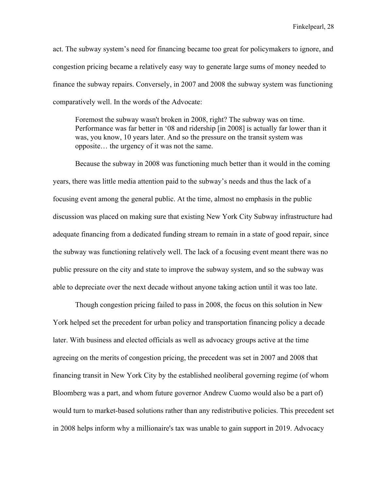act. The subway system's need for financing became too great for policymakers to ignore, and congestion pricing became a relatively easy way to generate large sums of money needed to finance the subway repairs. Conversely, in 2007 and 2008 the subway system was functioning comparatively well. In the words of the Advocate:

Foremost the subway wasn't broken in 2008, right? The subway was on time. Performance was far better in '08 and ridership [in 2008] is actually far lower than it was, you know, 10 years later. And so the pressure on the transit system was opposite… the urgency of it was not the same.

Because the subway in 2008 was functioning much better than it would in the coming years, there was little media attention paid to the subway's needs and thus the lack of a focusing event among the general public. At the time, almost no emphasis in the public discussion was placed on making sure that existing New York City Subway infrastructure had adequate financing from a dedicated funding stream to remain in a state of good repair, since the subway was functioning relatively well. The lack of a focusing event meant there was no public pressure on the city and state to improve the subway system, and so the subway was able to depreciate over the next decade without anyone taking action until it was too late.

Though congestion pricing failed to pass in 2008, the focus on this solution in New York helped set the precedent for urban policy and transportation financing policy a decade later. With business and elected officials as well as advocacy groups active at the time agreeing on the merits of congestion pricing, the precedent was set in 2007 and 2008 that financing transit in New York City by the established neoliberal governing regime (of whom Bloomberg was a part, and whom future governor Andrew Cuomo would also be a part of) would turn to market-based solutions rather than any redistributive policies. This precedent set in 2008 helps inform why a millionaire's tax was unable to gain support in 2019. Advocacy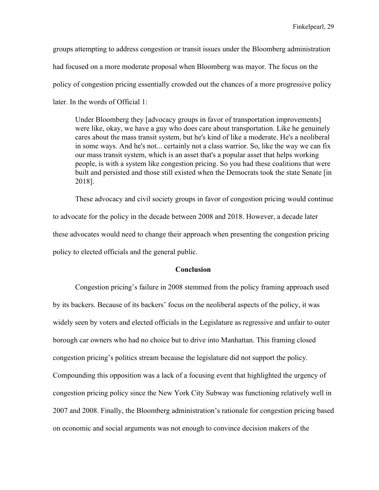groups attempting to address congestion or transit issues under the Bloomberg administration had focused on a more moderate proposal when Bloomberg was mayor. The focus on the policy of congestion pricing essentially crowded out the chances of a more progressive policy later. In the words of Official 1:

Under Bloomberg they [advocacy groups in favor of transportation improvements] were like, okay, we have a guy who does care about transportation. Like he genuinely cares about the mass transit system, but he's kind of like a moderate. He's a neoliberal in some ways. And he's not... certainly not a class warrior. So, like the way we can fix our mass transit system, which is an asset that's a popular asset that helps working people, is with a system like congestion pricing. So you had these coalitions that were built and persisted and those still existed when the Democrats took the state Senate [in 2018].

These advocacy and civil society groups in favor of congestion pricing would continue to advocate for the policy in the decade between 2008 and 2018. However, a decade later these advocates would need to change their approach when presenting the congestion pricing policy to elected officials and the general public.

## **Conclusion**

Congestion pricing's failure in 2008 stemmed from the policy framing approach used by its backers. Because of its backers' focus on the neoliberal aspects of the policy, it was widely seen by voters and elected officials in the Legislature as regressive and unfair to outer borough car owners who had no choice but to drive into Manhattan. This framing closed congestion pricing's politics stream because the legislature did not support the policy. Compounding this opposition was a lack of a focusing event that highlighted the urgency of congestion pricing policy since the New York City Subway was functioning relatively well in 2007 and 2008. Finally, the Bloomberg administration's rationale for congestion pricing based on economic and social arguments was not enough to convince decision makers of the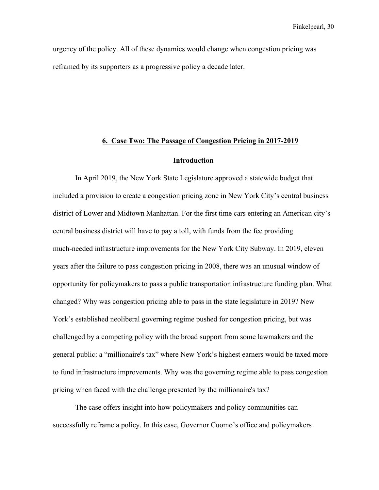urgency of the policy. All of these dynamics would change when congestion pricing was reframed by its supporters as a progressive policy a decade later.

## **6. Case Two: The Passage of Congestion Pricing in 2017-2019**

## **Introduction**

In April 2019, the New York State Legislature approved a statewide budget that included a provision to create a congestion pricing zone in New York City's central business district of Lower and Midtown Manhattan. For the first time cars entering an American city's central business district will have to pay a toll, with funds from the fee providing much-needed infrastructure improvements for the New York City Subway. In 2019, eleven years after the failure to pass congestion pricing in 2008, there was an unusual window of opportunity for policymakers to pass a public transportation infrastructure funding plan. What changed? Why was congestion pricing able to pass in the state legislature in 2019? New York's established neoliberal governing regime pushed for congestion pricing, but was challenged by a competing policy with the broad support from some lawmakers and the general public: a "millionaire's tax" where New York's highest earners would be taxed more to fund infrastructure improvements. Why was the governing regime able to pass congestion pricing when faced with the challenge presented by the millionaire's tax?

The case offers insight into how policymakers and policy communities can successfully reframe a policy. In this case, Governor Cuomo's office and policymakers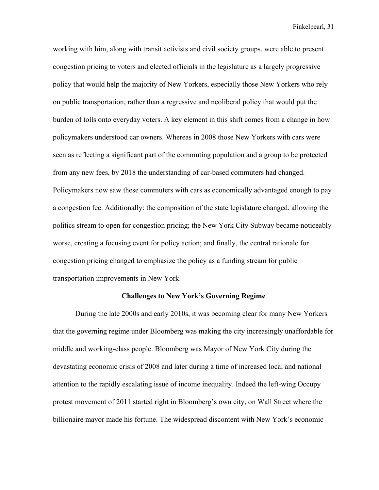working with him, along with transit activists and civil society groups, were able to present congestion pricing to voters and elected officials in the legislature as a largely progressive policy that would help the majority of New Yorkers, especially those New Yorkers who rely on public transportation, rather than a regressive and neoliberal policy that would put the burden of tolls onto everyday voters. A key element in this shift comes from a change in how policymakers understood car owners. Whereas in 2008 those New Yorkers with cars were seen as reflecting a significant part of the commuting population and a group to be protected from any new fees, by 2018 the understanding of car-based commuters had changed. Policymakers now saw these commuters with cars as economically advantaged enough to pay a congestion fee. Additionally: the composition of the state legislature changed, allowing the politics stream to open for congestion pricing; the New York City Subway became noticeably worse, creating a focusing event for policy action; and finally, the central rationale for congestion pricing changed to emphasize the policy as a funding stream for public transportation improvements in New York.

#### **Challenges to New York's Governing Regime**

During the late 2000s and early 2010s, it was becoming clear for many New Yorkers that the governing regime under Bloomberg was making the city increasingly unaffordable for middle and working-class people. Bloomberg was Mayor of New York City during the devastating economic crisis of 2008 and later during a time of increased local and national attention to the rapidly escalating issue of income inequality. Indeed the left-wing Occupy protest movement of 2011 started right in Bloomberg's own city, on Wall Street where the billionaire mayor made his fortune. The widespread discontent with New York's economic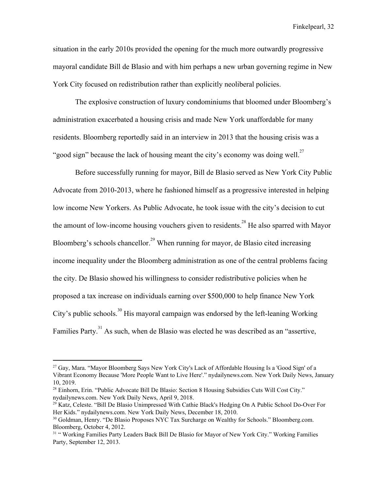situation in the early 2010s provided the opening for the much more outwardly progressive mayoral candidate Bill de Blasio and with him perhaps a new urban governing regime in New York City focused on redistribution rather than explicitly neoliberal policies.

The explosive construction of luxury condominiums that bloomed under Bloomberg's administration exacerbated a housing crisis and made New York unaffordable for many residents. Bloomberg reportedly said in an interview in 2013 that the housing crisis was a "good sign" because the lack of housing meant the city's economy was doing well. $^{27}$ 

Before successfully running for mayor, Bill de Blasio served as New York City Public Advocate from 2010-2013, where he fashioned himself as a progressive interested in helping low income New Yorkers. As Public Advocate, he took issue with the city's decision to cut the amount of low-income housing vouchers given to residents.<sup>28</sup> He also sparred with Mayor Bloomberg's schools chancellor.<sup>29</sup> When running for mayor, de Blasio cited increasing income inequality under the Bloomberg administration as one of the central problems facing the city. De Blasio showed his willingness to consider redistributive policies when he proposed a tax increase on individuals earning over \$500,000 to help finance New York City's public schools.<sup>30</sup> His mayoral campaign was endorsed by the left-leaning Working Families Party.<sup>31</sup> As such, when de Blasio was elected he was described as an "assertive,

<sup>&</sup>lt;sup>27</sup> Gay, Mara. "Mayor Bloomberg Says New York City's Lack of Affordable Housing Is a 'Good Sign' of a Vibrant Economy Because 'More People Want to Live Here'." nydailynews.com. New York Daily News, January 10, 2019.

<sup>28</sup> Einhorn, Erin. "Public Advocate Bill De Blasio: Section 8 Housing Subsidies Cuts Will Cost City." nydailynews.com. New York Daily News, April 9, 2018.

<sup>&</sup>lt;sup>29</sup> Katz, Celeste. "Bill De Blasio Unimpressed With Cathie Black's Hedging On A Public School Do-Over For Her Kids." nydailynews.com. New York Daily News, December 18, 2010.

<sup>&</sup>lt;sup>30</sup> Goldman, Henry. "De Blasio Proposes NYC Tax Surcharge on Wealthy for Schools." Bloomberg.com. Bloomberg, October 4, 2012.

<sup>&</sup>lt;sup>31</sup> "Working Families Party Leaders Back Bill De Blasio for Mayor of New York City." Working Families Party, September 12, 2013.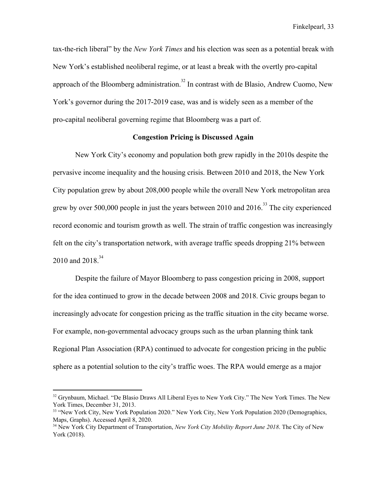tax-the-rich liberal" by the *New York Times* and his election was seen as a potential break with New York's established neoliberal regime, or at least a break with the overtly pro-capital approach of the Bloomberg administration.<sup>32</sup> In contrast with de Blasio, Andrew Cuomo, New York's governor during the 2017-2019 case, was and is widely seen as a member of the pro-capital neoliberal governing regime that Bloomberg was a part of.

## **Congestion Pricing is Discussed Again**

New York City's economy and population both grew rapidly in the 2010s despite the pervasive income inequality and the housing crisis. Between 2010 and 2018, the New York City population grew by about 208,000 people while the overall New York metropolitan area grew by over 500,000 people in just the years between 2010 and  $2016<sup>33</sup>$ . The city experienced record economic and tourism growth as well. The strain of traffic congestion was increasingly felt on the city's transportation network, with average traffic speeds dropping 21% between 2010 and 2018.<sup>34</sup>

Despite the failure of Mayor Bloomberg to pass congestion pricing in 2008, support for the idea continued to grow in the decade between 2008 and 2018. Civic groups began to increasingly advocate for congestion pricing as the traffic situation in the city became worse. For example, non-governmental advocacy groups such as the urban planning think tank Regional Plan Association (RPA) continued to advocate for congestion pricing in the public sphere as a potential solution to the city's traffic woes. The RPA would emerge as a major

<sup>&</sup>lt;sup>32</sup> Grynbaum, Michael. "De Blasio Draws All Liberal Eyes to New York City." The New York Times. The New York Times, December 31, 2013.

<sup>&</sup>lt;sup>33</sup> "New York City, New York Population 2020." New York City, New York Population 2020 (Demographics, Maps, Graphs). Accessed April 8, 2020.

<sup>34</sup> New York City Department of Transportation, *New York City Mobility Report June 2018*. The City of New York (2018).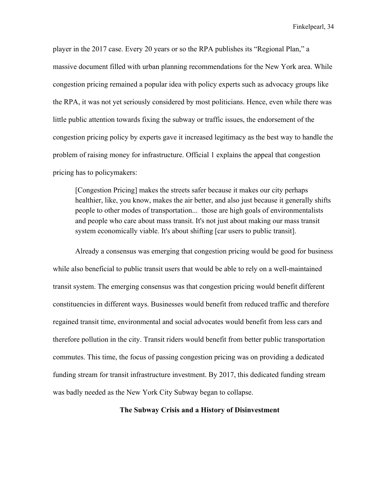player in the 2017 case. Every 20 years or so the RPA publishes its "Regional Plan," a massive document filled with urban planning recommendations for the New York area. While congestion pricing remained a popular idea with policy experts such as advocacy groups like the RPA, it was not yet seriously considered by most politicians. Hence, even while there was little public attention towards fixing the subway or traffic issues, the endorsement of the congestion pricing policy by experts gave it increased legitimacy as the best way to handle the problem of raising money for infrastructure. Official 1 explains the appeal that congestion pricing has to policymakers:

[Congestion Pricing] makes the streets safer because it makes our city perhaps healthier, like, you know, makes the air better, and also just because it generally shifts people to other modes of transportation... those are high goals of environmentalists and people who care about mass transit. It's not just about making our mass transit system economically viable. It's about shifting [car users to public transit].

Already a consensus was emerging that congestion pricing would be good for business while also beneficial to public transit users that would be able to rely on a well-maintained transit system. The emerging consensus was that congestion pricing would benefit different constituencies in different ways. Businesses would benefit from reduced traffic and therefore regained transit time, environmental and social advocates would benefit from less cars and therefore pollution in the city. Transit riders would benefit from better public transportation commutes. This time, the focus of passing congestion pricing was on providing a dedicated funding stream for transit infrastructure investment. By 2017, this dedicated funding stream was badly needed as the New York City Subway began to collapse.

## **The Subway Crisis and a History of Disinvestment**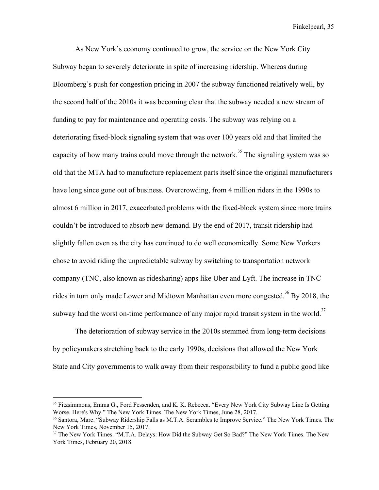As New York's economy continued to grow, the service on the New York City Subway began to severely deteriorate in spite of increasing ridership. Whereas during Bloomberg's push for congestion pricing in 2007 the subway functioned relatively well, by the second half of the 2010s it was becoming clear that the subway needed a new stream of funding to pay for maintenance and operating costs. The subway was relying on a deteriorating fixed-block signaling system that was over 100 years old and that limited the capacity of how many trains could move through the network.<sup>35</sup> The signaling system was so old that the MTA had to manufacture replacement parts itself since the original manufacturers have long since gone out of business. Overcrowding, from 4 million riders in the 1990s to almost 6 million in 2017, exacerbated problems with the fixed-block system since more trains couldn't be introduced to absorb new demand. By the end of 2017, transit ridership had slightly fallen even as the city has continued to do well economically. Some New Yorkers chose to avoid riding the unpredictable subway by switching to transportation network company (TNC, also known as ridesharing) apps like Uber and Lyft. The increase in TNC rides in turn only made Lower and Midtown Manhattan even more congested.<sup>36</sup> By 2018, the subway had the worst on-time performance of any major rapid transit system in the world.<sup>37</sup>

The deterioration of subway service in the 2010s stemmed from long-term decisions by policymakers stretching back to the early 1990s, decisions that allowed the New York State and City governments to walk away from their responsibility to fund a public good like

<sup>35</sup> Fitzsimmons, Emma G., Ford Fessenden, and K. K. Rebecca. "Every New York City Subway Line Is Getting Worse. Here's Why." The New York Times. The New York Times, June 28, 2017.

<sup>36</sup> Santora, Marc. "Subway Ridership Falls as M.T.A. Scrambles to Improve Service." The New York Times. The New York Times, November 15, 2017.

<sup>&</sup>lt;sup>37</sup> The New York Times. "M.T.A. Delays: How Did the Subway Get So Bad?" The New York Times. The New York Times, February 20, 2018.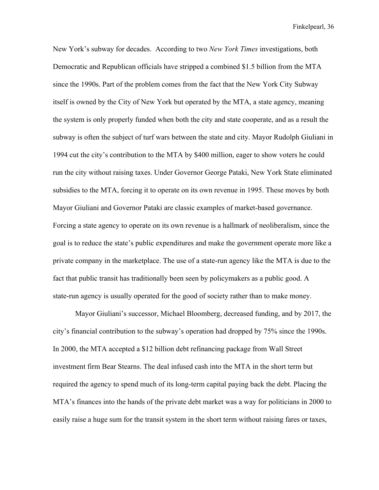New York's subway for decades. According to two *New York Times* investigations, both Democratic and Republican officials have stripped a combined \$1.5 billion from the MTA since the 1990s. Part of the problem comes from the fact that the New York City Subway itself is owned by the City of New York but operated by the MTA, a state agency, meaning the system is only properly funded when both the city and state cooperate, and as a result the subway is often the subject of turf wars between the state and city. Mayor Rudolph Giuliani in 1994 cut the city's contribution to the MTA by \$400 million, eager to show voters he could run the city without raising taxes. Under Governor George Pataki, New York State eliminated subsidies to the MTA, forcing it to operate on its own revenue in 1995. These moves by both Mayor Giuliani and Governor Pataki are classic examples of market-based governance. Forcing a state agency to operate on its own revenue is a hallmark of neoliberalism, since the goal is to reduce the state's public expenditures and make the government operate more like a private company in the marketplace. The use of a state-run agency like the MTA is due to the fact that public transit has traditionally been seen by policymakers as a public good. A state-run agency is usually operated for the good of society rather than to make money.

Mayor Giuliani's successor, Michael Bloomberg, decreased funding, and by 2017, the city's financial contribution to the subway's operation had dropped by 75% since the 1990s. In 2000, the MTA accepted a \$12 billion debt refinancing package from Wall Street investment firm Bear Stearns. The deal infused cash into the MTA in the short term but required the agency to spend much of its long-term capital paying back the debt. Placing the MTA's finances into the hands of the private debt market was a way for politicians in 2000 to easily raise a huge sum for the transit system in the short term without raising fares or taxes,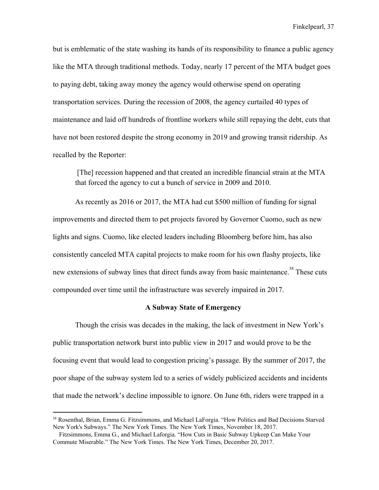but is emblematic of the state washing its hands of its responsibility to finance a public agency like the MTA through traditional methods. Today, nearly 17 percent of the MTA budget goes to paying debt, taking away money the agency would otherwise spend on operating transportation services. During the recession of 2008, the agency curtailed 40 types of maintenance and laid off hundreds of frontline workers while still repaying the debt, cuts that have not been restored despite the strong economy in 2019 and growing transit ridership. As recalled by the Reporter:

 [The] recession happened and that created an incredible financial strain at the MTA that forced the agency to cut a bunch of service in 2009 and 2010.

As recently as 2016 or 2017, the MTA had cut \$500 million of funding for signal improvements and directed them to pet projects favored by Governor Cuomo, such as new lights and signs. Cuomo, like elected leaders including Bloomberg before him, has also consistently canceled MTA capital projects to make room for his own flashy projects, like new extensions of subway lines that direct funds away from basic maintenance.<sup>38</sup> These cuts compounded over time until the infrastructure was severely impaired in 2017.

#### **A Subway State of Emergency**

Though the crisis was decades in the making, the lack of investment in New York's public transportation network burst into public view in 2017 and would prove to be the focusing event that would lead to congestion pricing's passage. By the summer of 2017, the poor shape of the subway system led to a series of widely publicized accidents and incidents that made the network's decline impossible to ignore. On June 6th, riders were trapped in a

<sup>&</sup>lt;sup>38</sup> Rosenthal, Brian, Emma G. Fitzsimmons, and Michael LaForgia. "How Politics and Bad Decisions Starved New York's Subways." The New York Times. The New York Times, November 18, 2017.

Fitzsimmons, Emma G., and Michael Laforgia. "How Cuts in Basic Subway Upkeep Can Make Your Commute Miserable." The New York Times. The New York Times, December 20, 2017.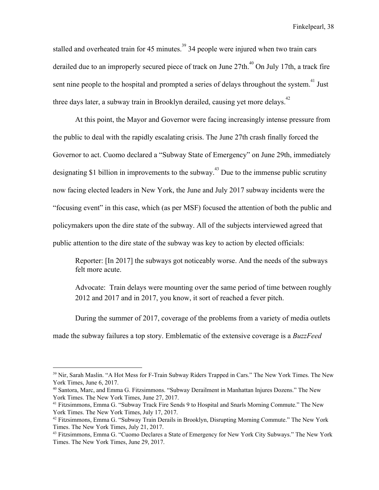stalled and overheated train for 45 minutes.<sup>39</sup> 34 people were injured when two train cars derailed due to an improperly secured piece of track on June  $27th$ <sup>40</sup> On July 17th, a track fire sent nine people to the hospital and prompted a series of delays throughout the system.<sup>41</sup> Just three days later, a subway train in Brooklyn derailed, causing yet more delays.<sup>42</sup>

At this point, the Mayor and Governor were facing increasingly intense pressure from the public to deal with the rapidly escalating crisis. The June 27th crash finally forced the Governor to act. Cuomo declared a "Subway State of Emergency" on June 29th, immediately designating \$1 billion in improvements to the subway.<sup>43</sup> Due to the immense public scrutiny now facing elected leaders in New York, the June and July 2017 subway incidents were the "focusing event" in this case, which (as per MSF) focused the attention of both the public and policymakers upon the dire state of the subway. All of the subjects interviewed agreed that public attention to the dire state of the subway was key to action by elected officials:

Reporter: [In 2017] the subways got noticeably worse. And the needs of the subways felt more acute.

Advocate: Train delays were mounting over the same period of time between roughly 2012 and 2017 and in 2017, you know, it sort of reached a fever pitch.

During the summer of 2017, coverage of the problems from a variety of media outlets

made the subway failures a top story. Emblematic of the extensive coverage is a *BuzzFeed*

<sup>&</sup>lt;sup>39</sup> Nir, Sarah Maslin. "A Hot Mess for F-Train Subway Riders Trapped in Cars." The New York Times. The New York Times, June 6, 2017.

<sup>40</sup> Santora, Marc, and Emma G. Fitzsimmons. "Subway Derailment in Manhattan Injures Dozens." The New York Times. The New York Times, June 27, 2017.

<sup>&</sup>lt;sup>41</sup> Fitzsimmons, Emma G. "Subway Track Fire Sends 9 to Hospital and Snarls Morning Commute." The New York Times. The New York Times, July 17, 2017.

<sup>42</sup> Fitzsimmons, Emma G. "Subway Train Derails in Brooklyn, Disrupting Morning Commute." The New York Times. The New York Times, July 21, 2017.

<sup>43</sup> Fitzsimmons, Emma G. "Cuomo Declares a State of Emergency for New York City Subways." The New York Times. The New York Times, June 29, 2017.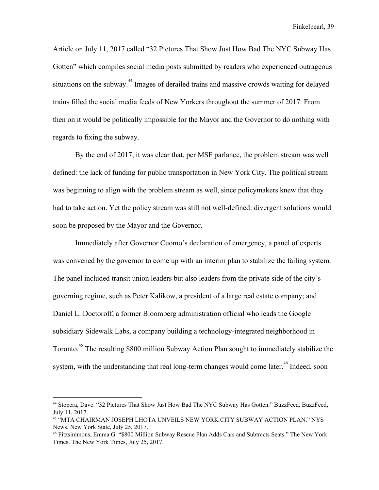Article on July 11, 2017 called "32 Pictures That Show Just How Bad The NYC Subway Has Gotten" which compiles social media posts submitted by readers who experienced outrageous situations on the subway.<sup> $44$ </sup> Images of derailed trains and massive crowds waiting for delayed trains filled the social media feeds of New Yorkers throughout the summer of 2017. From then on it would be politically impossible for the Mayor and the Governor to do nothing with regards to fixing the subway.

By the end of 2017, it was clear that, per MSF parlance, the problem stream was well defined: the lack of funding for public transportation in New York City. The political stream was beginning to align with the problem stream as well, since policymakers knew that they had to take action. Yet the policy stream was still not well-defined: divergent solutions would soon be proposed by the Mayor and the Governor.

Immediately after Governor Cuomo's declaration of emergency, a panel of experts was convened by the governor to come up with an interim plan to stabilize the failing system. The panel included transit union leaders but also leaders from the private side of the city's governing regime, such as Peter Kalikow, a president of a large real estate company; and Daniel L. Doctoroff, a former Bloomberg administration official who leads the Google subsidiary Sidewalk Labs, a company building a technology-integrated neighborhood in Toronto.<sup>45</sup> The resulting \$800 million Subway Action Plan sought to immediately stabilize the system, with the understanding that real long-term changes would come later.<sup> $46$ </sup> Indeed, soon

<sup>44</sup> Stopera, Dave. "32 Pictures That Show Just How Bad The NYC Subway Has Gotten." BuzzFeed. BuzzFeed, July 11, 2017.

<sup>45</sup> "MTA CHAIRMAN JOSEPH LHOTA UNVEILS NEW YORK CITY SUBWAY ACTION PLAN." NYS News. New York State, July 25, 2017.

<sup>46</sup> Fitzsimmons, Emma G. "\$800 Million Subway Rescue Plan Adds Cars and Subtracts Seats." The New York Times. The New York Times, July 25, 2017.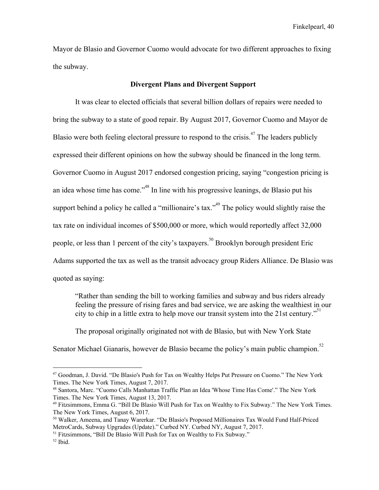Mayor de Blasio and Governor Cuomo would advocate for two different approaches to fixing the subway.

#### **Divergent Plans and Divergent Support**

It was clear to elected officials that several billion dollars of repairs were needed to bring the subway to a state of good repair. By August 2017, Governor Cuomo and Mayor de Blasio were both feeling electoral pressure to respond to the crisis.<sup> $47$ </sup> The leaders publicly expressed their different opinions on how the subway should be financed in the long term. Governor Cuomo in August 2017 endorsed congestion pricing, saying "congestion pricing is an idea whose time has come."<sup> $48$ </sup> In line with his progressive leanings, de Blasio put his support behind a policy he called a "millionaire's tax."<sup> $49$ </sup> The policy would slightly raise the tax rate on individual incomes of \$500,000 or more, which would reportedly affect 32,000 people, or less than 1 percent of the city's taxpayers.<sup>50</sup> Brooklyn borough president Eric Adams supported the tax as well as the transit advocacy group Riders Alliance. De Blasio was quoted as saying:

"Rather than sending the bill to working families and subway and bus riders already feeling the pressure of rising fares and bad service, we are asking the wealthiest in our city to chip in a little extra to help move our transit system into the 21st century."

The proposal originally originated not with de Blasio, but with New York State Senator Michael Gianaris, however de Blasio became the policy's main public champion.<sup>52</sup>

<sup>47</sup> Goodman, J. David. "De Blasio's Push for Tax on Wealthy Helps Put Pressure on Cuomo." The New York Times. The New York Times, August 7, 2017.

<sup>48</sup> Santora, Marc. "Cuomo Calls Manhattan Traffic Plan an Idea 'Whose Time Has Come'." The New York Times. The New York Times, August 13, 2017.

<sup>49</sup> Fitzsimmons, Emma G. "Bill De Blasio Will Push for Tax on Wealthy to Fix Subway." The New York Times. The New York Times, August 6, 2017.

<sup>50</sup> Walker, Ameena, and Tanay Warerkar. "De Blasio's Proposed Millionaires Tax Would Fund Half-Priced MetroCards, Subway Upgrades (Update)." Curbed NY. Curbed NY, August 7, 2017.

<sup>&</sup>lt;sup>51</sup> Fitzsimmons, "Bill De Blasio Will Push for Tax on Wealthy to Fix Subway."

 $52$  Ibid.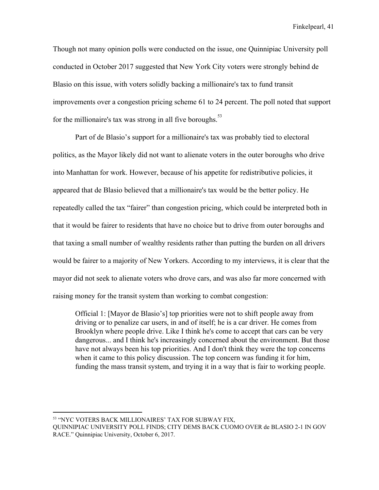Though not many opinion polls were conducted on the issue, one Quinnipiac University poll conducted in October 2017 suggested that New York City voters were strongly behind de Blasio on this issue, with voters solidly backing a millionaire's tax to fund transit improvements over a congestion pricing scheme 61 to 24 percent. The poll noted that support for the millionaire's tax was strong in all five boroughs. $53$ 

Part of de Blasio's support for a millionaire's tax was probably tied to electoral politics, as the Mayor likely did not want to alienate voters in the outer boroughs who drive into Manhattan for work. However, because of his appetite for redistributive policies, it appeared that de Blasio believed that a millionaire's tax would be the better policy. He repeatedly called the tax "fairer" than congestion pricing, which could be interpreted both in that it would be fairer to residents that have no choice but to drive from outer boroughs and that taxing a small number of wealthy residents rather than putting the burden on all drivers would be fairer to a majority of New Yorkers. According to my interviews, it is clear that the mayor did not seek to alienate voters who drove cars, and was also far more concerned with raising money for the transit system than working to combat congestion:

Official 1: [Mayor de Blasio's] top priorities were not to shift people away from driving or to penalize car users, in and of itself; he is a car driver. He comes from Brooklyn where people drive. Like I think he's come to accept that cars can be very dangerous... and I think he's increasingly concerned about the environment. But those have not always been his top priorities. And I don't think they were the top concerns when it came to this policy discussion. The top concern was funding it for him, funding the mass transit system, and trying it in a way that is fair to working people.

<sup>53</sup> "NYC VOTERS BACK MILLIONAIRES' TAX FOR SUBWAY FIX,

QUINNIPIAC UNIVERSITY POLL FINDS; CITY DEMS BACK CUOMO OVER de BLASIO 2-1 IN GOV RACE." Quinnipiac University, October 6, 2017.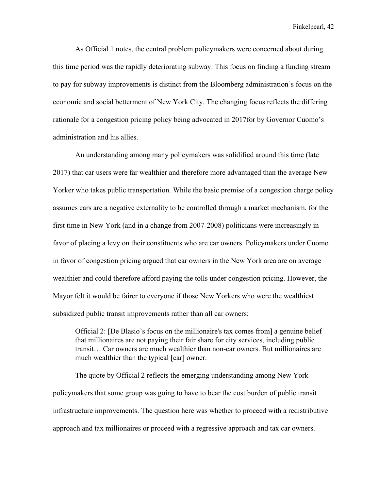As Official 1 notes, the central problem policymakers were concerned about during this time period was the rapidly deteriorating subway. This focus on finding a funding stream to pay for subway improvements is distinct from the Bloomberg administration's focus on the economic and social betterment of New York City. The changing focus reflects the differing rationale for a congestion pricing policy being advocated in 2017for by Governor Cuomo's administration and his allies.

An understanding among many policymakers was solidified around this time (late 2017) that car users were far wealthier and therefore more advantaged than the average New Yorker who takes public transportation. While the basic premise of a congestion charge policy assumes cars are a negative externality to be controlled through a market mechanism, for the first time in New York (and in a change from 2007-2008) politicians were increasingly in favor of placing a levy on their constituents who are car owners. Policymakers under Cuomo in favor of congestion pricing argued that car owners in the New York area are on average wealthier and could therefore afford paying the tolls under congestion pricing. However, the Mayor felt it would be fairer to everyone if those New Yorkers who were the wealthiest subsidized public transit improvements rather than all car owners:

Official 2: [De Blasio's focus on the millionaire's tax comes from] a genuine belief that millionaires are not paying their fair share for city services, including public transit… Car owners are much wealthier than non-car owners. But millionaires are much wealthier than the typical [car] owner.

The quote by Official 2 reflects the emerging understanding among New York policymakers that some group was going to have to bear the cost burden of public transit infrastructure improvements. The question here was whether to proceed with a redistributive approach and tax millionaires or proceed with a regressive approach and tax car owners.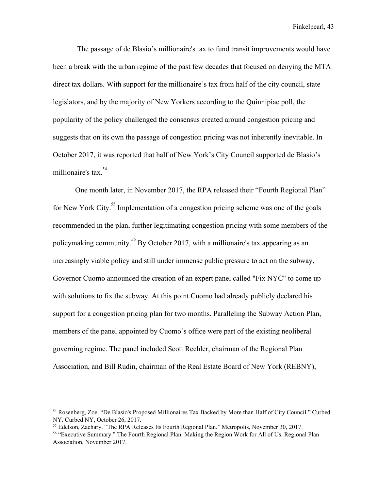The passage of de Blasio's millionaire's tax to fund transit improvements would have been a break with the urban regime of the past few decades that focused on denying the MTA direct tax dollars. With support for the millionaire's tax from half of the city council, state legislators, and by the majority of New Yorkers according to the Quinnipiac poll, the popularity of the policy challenged the consensus created around congestion pricing and suggests that on its own the passage of congestion pricing was not inherently inevitable. In October 2017, it was reported that half of New York's City Council supported de Blasio's millionaire's tax.<sup>54</sup>

One month later, in November 2017, the RPA released their "Fourth Regional Plan" for New York City.<sup>55</sup> Implementation of a congestion pricing scheme was one of the goals recommended in the plan, further legitimating congestion pricing with some members of the policymaking community.  $^{56}$  By October 2017, with a millionaire's tax appearing as an increasingly viable policy and still under immense public pressure to act on the subway, Governor Cuomo announced the creation of an expert panel called "Fix NYC" to come up with solutions to fix the subway. At this point Cuomo had already publicly declared his support for a congestion pricing plan for two months. Paralleling the Subway Action Plan, members of the panel appointed by Cuomo's office were part of the existing neoliberal governing regime. The panel included Scott Rechler, chairman of the Regional Plan Association, and Bill Rudin, chairman of the Real Estate Board of New York (REBNY),

<sup>54</sup> Rosenberg, Zoe. "De Blasio's Proposed Millionaires Tax Backed by More than Half of City Council." Curbed NY. Curbed NY, October 26, 2017.

<sup>55</sup> Edelson, Zachary. "The RPA Releases Its Fourth Regional Plan." Metropolis, November 30, 2017.

<sup>56</sup> "Executive Summary." The Fourth Regional Plan: Making the Region Work for All of Us. Regional Plan Association, November 2017.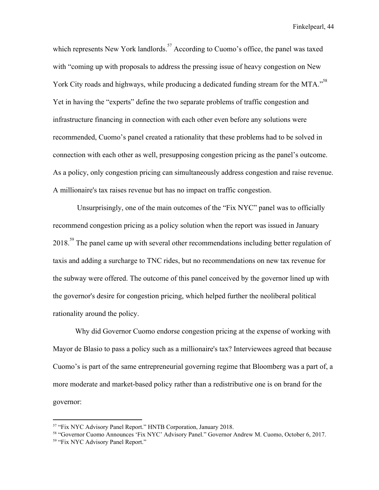which represents New York landlords.  $57$  According to Cuomo's office, the panel was taxed with "coming up with proposals to address the pressing issue of heavy congestion on New York City roads and highways, while producing a dedicated funding stream for the MTA."<sup>58</sup> Yet in having the "experts" define the two separate problems of traffic congestion and infrastructure financing in connection with each other even before any solutions were recommended, Cuomo's panel created a rationality that these problems had to be solved in connection with each other as well, presupposing congestion pricing as the panel's outcome. As a policy, only congestion pricing can simultaneously address congestion and raise revenue. A millionaire's tax raises revenue but has no impact on traffic congestion.

 Unsurprisingly, one of the main outcomes of the "Fix NYC" panel was to officially recommend congestion pricing as a policy solution when the report was issued in January  $2018.<sup>59</sup>$  The panel came up with several other recommendations including better regulation of taxis and adding a surcharge to TNC rides, but no recommendations on new tax revenue for the subway were offered. The outcome of this panel conceived by the governor lined up with the governor's desire for congestion pricing, which helped further the neoliberal political rationality around the policy.

Why did Governor Cuomo endorse congestion pricing at the expense of working with Mayor de Blasio to pass a policy such as a millionaire's tax? Interviewees agreed that because Cuomo's is part of the same entrepreneurial governing regime that Bloomberg was a part of, a more moderate and market-based policy rather than a redistributive one is on brand for the governor:

<sup>57</sup> "Fix NYC Advisory Panel Report." HNTB Corporation, January 2018.

<sup>58</sup> "Governor Cuomo Announces 'Fix NYC' Advisory Panel." Governor Andrew M. Cuomo, October 6, 2017. <sup>59</sup> "Fix NYC Advisory Panel Report."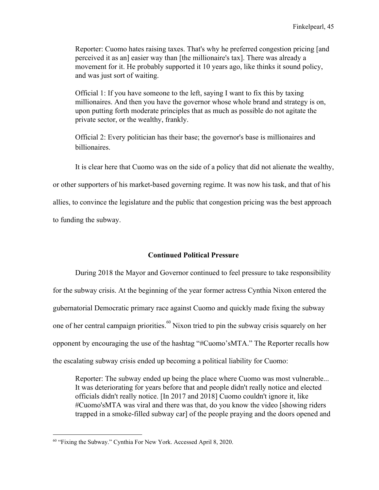Reporter: Cuomo hates raising taxes. That's why he preferred congestion pricing [and perceived it as an] easier way than [the millionaire's tax]. There was already a movement for it. He probably supported it 10 years ago, like thinks it sound policy, and was just sort of waiting.

Official 1: If you have someone to the left, saying I want to fix this by taxing millionaires. And then you have the governor whose whole brand and strategy is on, upon putting forth moderate principles that as much as possible do not agitate the private sector, or the wealthy, frankly.

Official 2: Every politician has their base; the governor's base is millionaires and billionaires.

It is clear here that Cuomo was on the side of a policy that did not alienate the wealthy,

or other supporters of his market-based governing regime. It was now his task, and that of his

allies, to convince the legislature and the public that congestion pricing was the best approach

to funding the subway.

## **Continued Political Pressure**

During 2018 the Mayor and Governor continued to feel pressure to take responsibility for the subway crisis. At the beginning of the year former actress Cynthia Nixon entered the gubernatorial Democratic primary race against Cuomo and quickly made fixing the subway one of her central campaign priorities.  $\frac{60}{60}$  Nixon tried to pin the subway crisis squarely on her opponent by encouraging the use of the hashtag "#Cuomo'sMTA." The Reporter recalls how the escalating subway crisis ended up becoming a political liability for Cuomo:

Reporter: The subway ended up being the place where Cuomo was most vulnerable... It was deteriorating for years before that and people didn't really notice and elected officials didn't really notice. [In 2017 and 2018] Cuomo couldn't ignore it, like #Cuomo'sMTA was viral and there was that, do you know the video [showing riders trapped in a smoke-filled subway car] of the people praying and the doors opened and

<sup>&</sup>lt;sup>60</sup> "Fixing the Subway." Cynthia For New York. Accessed April 8, 2020.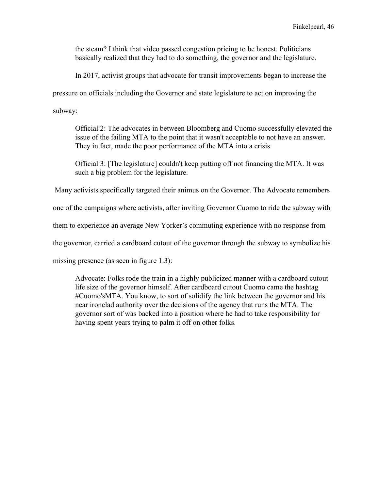the steam? I think that video passed congestion pricing to be honest. Politicians basically realized that they had to do something, the governor and the legislature.

In 2017, activist groups that advocate for transit improvements began to increase the

pressure on officials including the Governor and state legislature to act on improving the

subway:

Official 2: The advocates in between Bloomberg and Cuomo successfully elevated the issue of the failing MTA to the point that it wasn't acceptable to not have an answer. They in fact, made the poor performance of the MTA into a crisis.

Official 3: [The legislature] couldn't keep putting off not financing the MTA. It was such a big problem for the legislature.

Many activists specifically targeted their animus on the Governor. The Advocate remembers

one of the campaigns where activists, after inviting Governor Cuomo to ride the subway with

them to experience an average New Yorker's commuting experience with no response from

the governor, carried a cardboard cutout of the governor through the subway to symbolize his

missing presence (as seen in figure 1.3):

Advocate: Folks rode the train in a highly publicized manner with a cardboard cutout life size of the governor himself. After cardboard cutout Cuomo came the hashtag #Cuomo'sMTA. You know, to sort of solidify the link between the governor and his near ironclad authority over the decisions of the agency that runs the MTA. The governor sort of was backed into a position where he had to take responsibility for having spent years trying to palm it off on other folks.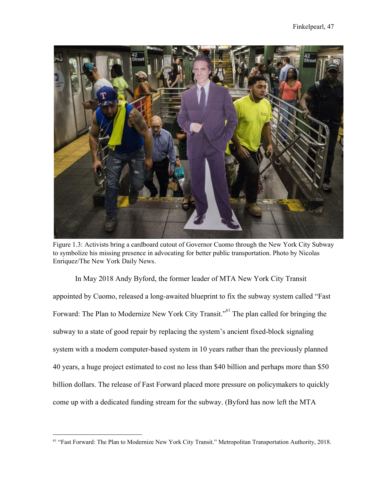

Figure 1.3: Activists bring a cardboard cutout of Governor Cuomo through the New York City Subway to symbolize his missing presence in advocating for better public transportation. Photo by Nicolas Enriquez/The New York Daily News.

In May 2018 Andy Byford, the former leader of MTA New York City Transit appointed by Cuomo, released a long-awaited blueprint to fix the subway system called "Fast Forward: The Plan to Modernize New York City Transit."<sup>61</sup> The plan called for bringing the subway to a state of good repair by replacing the system's ancient fixed-block signaling system with a modern computer-based system in 10 years rather than the previously planned 40 years, a huge project estimated to cost no less than \$40 billion and perhaps more than \$50 billion dollars. The release of Fast Forward placed more pressure on policymakers to quickly come up with a dedicated funding stream for the subway. (Byford has now left the MTA

<sup>61</sup> "Fast Forward: The Plan to Modernize New York City Transit." Metropolitan Transportation Authority, 2018.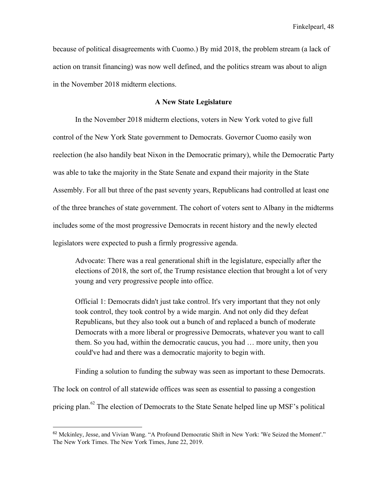because of political disagreements with Cuomo.) By mid 2018, the problem stream (a lack of action on transit financing) was now well defined, and the politics stream was about to align in the November 2018 midterm elections.

## **A New State Legislature**

In the November 2018 midterm elections, voters in New York voted to give full control of the New York State government to Democrats. Governor Cuomo easily won reelection (he also handily beat Nixon in the Democratic primary), while the Democratic Party was able to take the majority in the State Senate and expand their majority in the State Assembly. For all but three of the past seventy years, Republicans had controlled at least one of the three branches of state government. The cohort of voters sent to Albany in the midterms includes some of the most progressive Democrats in recent history and the newly elected legislators were expected to push a firmly progressive agenda.

Advocate: There was a real generational shift in the legislature, especially after the elections of 2018, the sort of, the Trump resistance election that brought a lot of very young and very progressive people into office.

Official 1: Democrats didn't just take control. It's very important that they not only took control, they took control by a wide margin. And not only did they defeat Republicans, but they also took out a bunch of and replaced a bunch of moderate Democrats with a more liberal or progressive Democrats, whatever you want to call them. So you had, within the democratic caucus, you had … more unity, then you could've had and there was a democratic majority to begin with.

Finding a solution to funding the subway was seen as important to these Democrats.

The lock on control of all statewide offices was seen as essential to passing a congestion pricing plan.  $62$  The election of Democrats to the State Senate helped line up MSF's political

<sup>62</sup> Mckinley, Jesse, and Vivian Wang. "A Profound Democratic Shift in New York: 'We Seized the Moment'." The New York Times. The New York Times, June 22, 2019.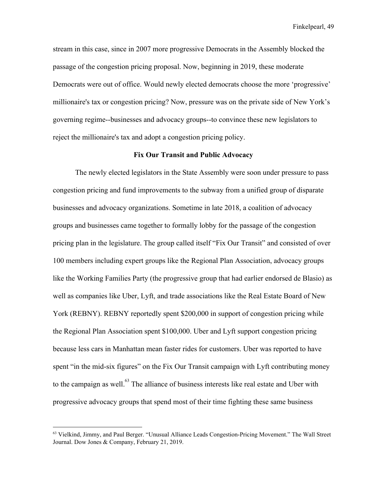stream in this case, since in 2007 more progressive Democrats in the Assembly blocked the passage of the congestion pricing proposal. Now, beginning in 2019, these moderate Democrats were out of office. Would newly elected democrats choose the more 'progressive' millionaire's tax or congestion pricing? Now, pressure was on the private side of New York's governing regime--businesses and advocacy groups--to convince these new legislators to reject the millionaire's tax and adopt a congestion pricing policy.

## **Fix Our Transit and Public Advocacy**

The newly elected legislators in the State Assembly were soon under pressure to pass congestion pricing and fund improvements to the subway from a unified group of disparate businesses and advocacy organizations. Sometime in late 2018, a coalition of advocacy groups and businesses came together to formally lobby for the passage of the congestion pricing plan in the legislature. The group called itself "Fix Our Transit" and consisted of over 100 members including expert groups like the Regional Plan Association, advocacy groups like the Working Families Party (the progressive group that had earlier endorsed de Blasio) as well as companies like Uber, Lyft, and trade associations like the Real Estate Board of New York (REBNY). REBNY reportedly spent \$200,000 in support of congestion pricing while the Regional Plan Association spent \$100,000. Uber and Lyft support congestion pricing because less cars in Manhattan mean faster rides for customers. Uber was reported to have spent "in the mid-six figures" on the Fix Our Transit campaign with Lyft contributing money to the campaign as well.<sup>63</sup> The alliance of business interests like real estate and Uber with progressive advocacy groups that spend most of their time fighting these same business

<sup>63</sup> Vielkind, Jimmy, and Paul Berger. "Unusual Alliance Leads Congestion-Pricing Movement." The Wall Street Journal. Dow Jones & Company, February 21, 2019.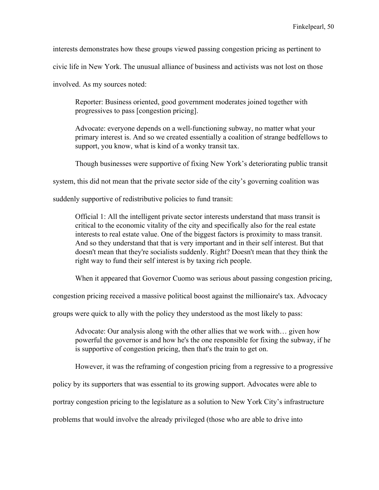interests demonstrates how these groups viewed passing congestion pricing as pertinent to

civic life in New York. The unusual alliance of business and activists was not lost on those

involved. As my sources noted:

Reporter: Business oriented, good government moderates joined together with progressives to pass [congestion pricing].

Advocate: everyone depends on a well-functioning subway, no matter what your primary interest is. And so we created essentially a coalition of strange bedfellows to support, you know, what is kind of a wonky transit tax.

Though businesses were supportive of fixing New York's deteriorating public transit

system, this did not mean that the private sector side of the city's governing coalition was

suddenly supportive of redistributive policies to fund transit:

Official 1: All the intelligent private sector interests understand that mass transit is critical to the economic vitality of the city and specifically also for the real estate interests to real estate value. One of the biggest factors is proximity to mass transit. And so they understand that that is very important and in their self interest. But that doesn't mean that they're socialists suddenly. Right? Doesn't mean that they think the right way to fund their self interest is by taxing rich people.

When it appeared that Governor Cuomo was serious about passing congestion pricing,

congestion pricing received a massive political boost against the millionaire's tax. Advocacy

groups were quick to ally with the policy they understood as the most likely to pass:

Advocate: Our analysis along with the other allies that we work with… given how powerful the governor is and how he's the one responsible for fixing the subway, if he is supportive of congestion pricing, then that's the train to get on.

However, it was the reframing of congestion pricing from a regressive to a progressive

policy by its supporters that was essential to its growing support. Advocates were able to

portray congestion pricing to the legislature as a solution to New York City's infrastructure

problems that would involve the already privileged (those who are able to drive into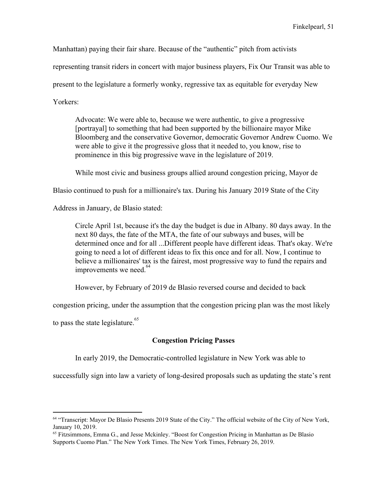Manhattan) paying their fair share. Because of the "authentic" pitch from activists

representing transit riders in concert with major business players, Fix Our Transit was able to

present to the legislature a formerly wonky, regressive tax as equitable for everyday New

Yorkers:

Advocate: We were able to, because we were authentic, to give a progressive [portrayal] to something that had been supported by the billionaire mayor Mike Bloomberg and the conservative Governor, democratic Governor Andrew Cuomo. We were able to give it the progressive gloss that it needed to, you know, rise to prominence in this big progressive wave in the legislature of 2019.

While most civic and business groups allied around congestion pricing, Mayor de

Blasio continued to push for a millionaire's tax. During his January 2019 State of the City

Address in January, de Blasio stated:

Circle April 1st, because it's the day the budget is due in Albany. 80 days away. In the next 80 days, the fate of the MTA, the fate of our subways and buses, will be determined once and for all ...Different people have different ideas. That's okay. We're going to need a lot of different ideas to fix this once and for all. Now, I continue to believe a millionaires' tax is the fairest, most progressive way to fund the repairs and improvements we need. $64$ 

However, by February of 2019 de Blasio reversed course and decided to back

congestion pricing, under the assumption that the congestion pricing plan was the most likely

to pass the state legislature.<sup>65</sup>

## **Congestion Pricing Passes**

In early 2019, the Democratic-controlled legislature in New York was able to

successfully sign into law a variety of long-desired proposals such as updating the state's rent

<sup>64</sup> "Transcript: Mayor De Blasio Presents 2019 State of the City." The official website of the City of New York, January 10, 2019.

 $<sup>65</sup>$  Fitzsimmons, Emma G., and Jesse Mckinley. "Boost for Congestion Pricing in Manhattan as De Blasio</sup> Supports Cuomo Plan." The New York Times. The New York Times, February 26, 2019.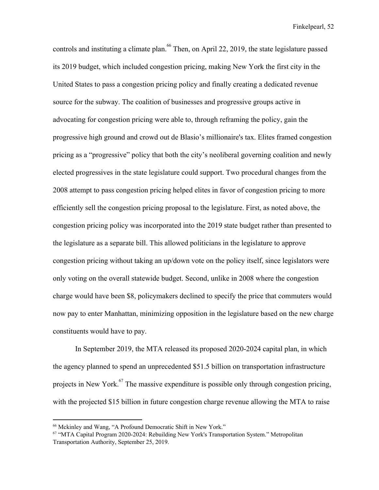controls and instituting a climate plan.  $66$  Then, on April 22, 2019, the state legislature passed its 2019 budget, which included congestion pricing, making New York the first city in the United States to pass a congestion pricing policy and finally creating a dedicated revenue source for the subway. The coalition of businesses and progressive groups active in advocating for congestion pricing were able to, through reframing the policy, gain the progressive high ground and crowd out de Blasio's millionaire's tax. Elites framed congestion pricing as a "progressive" policy that both the city's neoliberal governing coalition and newly elected progressives in the state legislature could support. Two procedural changes from the 2008 attempt to pass congestion pricing helped elites in favor of congestion pricing to more efficiently sell the congestion pricing proposal to the legislature. First, as noted above, the congestion pricing policy was incorporated into the 2019 state budget rather than presented to the legislature as a separate bill. This allowed politicians in the legislature to approve congestion pricing without taking an up/down vote on the policy itself, since legislators were only voting on the overall statewide budget. Second, unlike in 2008 where the congestion charge would have been \$8, policymakers declined to specify the price that commuters would now pay to enter Manhattan, minimizing opposition in the legislature based on the new charge constituents would have to pay.

In September 2019, the MTA released its proposed 2020-2024 capital plan, in which the agency planned to spend an unprecedented \$51.5 billion on transportation infrastructure projects in New York. $^{67}$  The massive expenditure is possible only through congestion pricing, with the projected \$15 billion in future congestion charge revenue allowing the MTA to raise

<sup>66</sup> Mckinley and Wang, "A Profound Democratic Shift in New York."

<sup>67</sup> "MTA Capital Program 2020-2024: Rebuilding New York's Transportation System." Metropolitan Transportation Authority, September 25, 2019.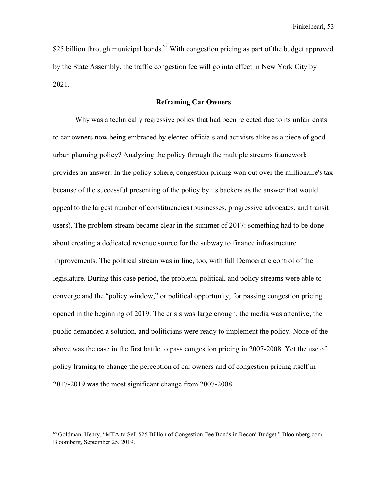\$25 billion through municipal bonds.<sup>68</sup> With congestion pricing as part of the budget approved by the State Assembly, the traffic congestion fee will go into effect in New York City by 2021.

## **Reframing Car Owners**

Why was a technically regressive policy that had been rejected due to its unfair costs to car owners now being embraced by elected officials and activists alike as a piece of good urban planning policy? Analyzing the policy through the multiple streams framework provides an answer. In the policy sphere, congestion pricing won out over the millionaire's tax because of the successful presenting of the policy by its backers as the answer that would appeal to the largest number of constituencies (businesses, progressive advocates, and transit users). The problem stream became clear in the summer of 2017: something had to be done about creating a dedicated revenue source for the subway to finance infrastructure improvements. The political stream was in line, too, with full Democratic control of the legislature. During this case period, the problem, political, and policy streams were able to converge and the "policy window," or political opportunity, for passing congestion pricing opened in the beginning of 2019. The crisis was large enough, the media was attentive, the public demanded a solution, and politicians were ready to implement the policy. None of the above was the case in the first battle to pass congestion pricing in 2007-2008. Yet the use of policy framing to change the perception of car owners and of congestion pricing itself in 2017-2019 was the most significant change from 2007-2008.

<sup>68</sup> Goldman, Henry. "MTA to Sell \$25 Billion of Congestion-Fee Bonds in Record Budget." Bloomberg.com. Bloomberg, September 25, 2019.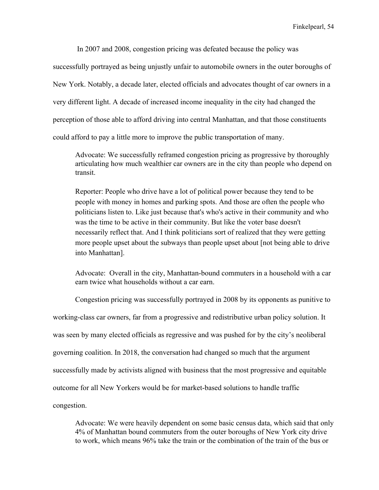In 2007 and 2008, congestion pricing was defeated because the policy was

successfully portrayed as being unjustly unfair to automobile owners in the outer boroughs of New York. Notably, a decade later, elected officials and advocates thought of car owners in a very different light. A decade of increased income inequality in the city had changed the perception of those able to afford driving into central Manhattan, and that those constituents could afford to pay a little more to improve the public transportation of many.

Advocate: We successfully reframed congestion pricing as progressive by thoroughly articulating how much wealthier car owners are in the city than people who depend on transit.

Reporter: People who drive have a lot of political power because they tend to be people with money in homes and parking spots. And those are often the people who politicians listen to. Like just because that's who's active in their community and who was the time to be active in their community. But like the voter base doesn't necessarily reflect that. And I think politicians sort of realized that they were getting more people upset about the subways than people upset about [not being able to drive into Manhattan].

Advocate: Overall in the city, Manhattan-bound commuters in a household with a car earn twice what households without a car earn.

Congestion pricing was successfully portrayed in 2008 by its opponents as punitive to working-class car owners, far from a progressive and redistributive urban policy solution. It was seen by many elected officials as regressive and was pushed for by the city's neoliberal governing coalition. In 2018, the conversation had changed so much that the argument successfully made by activists aligned with business that the most progressive and equitable outcome for all New Yorkers would be for market-based solutions to handle traffic congestion.

Advocate: We were heavily dependent on some basic census data, which said that only 4% of Manhattan bound commuters from the outer boroughs of New York city drive to work, which means 96% take the train or the combination of the train of the bus or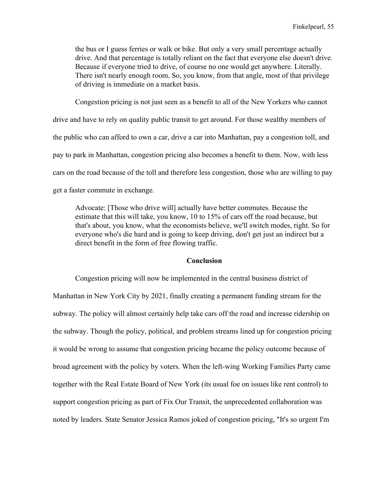the bus or I guess ferries or walk or bike. But only a very small percentage actually drive. And that percentage is totally reliant on the fact that everyone else doesn't drive. Because if everyone tried to drive, of course no one would get anywhere. Literally. There isn't nearly enough room. So, you know, from that angle, most of that privilege of driving is immediate on a market basis.

Congestion pricing is not just seen as a benefit to all of the New Yorkers who cannot drive and have to rely on quality public transit to get around. For those wealthy members of the public who can afford to own a car, drive a car into Manhattan, pay a congestion toll, and pay to park in Manhattan, congestion pricing also becomes a benefit to them. Now, with less cars on the road because of the toll and therefore less congestion, those who are willing to pay get a faster commute in exchange.

Advocate: [Those who drive will] actually have better commutes. Because the estimate that this will take, you know, 10 to 15% of cars off the road because, but that's about, you know, what the economists believe, we'll switch modes, right. So for everyone who's die hard and is going to keep driving, don't get just an indirect but a direct benefit in the form of free flowing traffic.

#### **Conclusion**

Congestion pricing will now be implemented in the central business district of Manhattan in New York City by 2021, finally creating a permanent funding stream for the subway. The policy will almost certainly help take cars off the road and increase ridership on the subway. Though the policy, political, and problem streams lined up for congestion pricing it would be wrong to assume that congestion pricing became the policy outcome because of broad agreement with the policy by voters. When the left-wing Working Families Party came together with the Real Estate Board of New York (its usual foe on issues like rent control) to support congestion pricing as part of Fix Our Transit, the unprecedented collaboration was noted by leaders. State Senator Jessica Ramos joked of congestion pricing, "It's so urgent I'm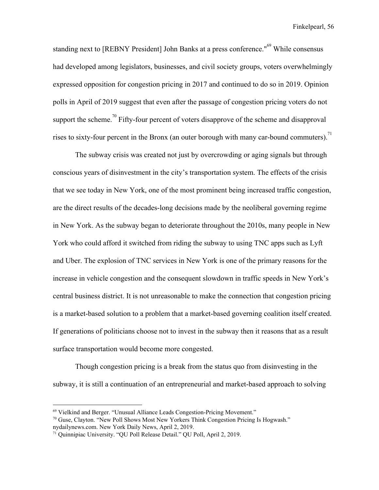standing next to [REBNY President] John Banks at a press conference."<sup>69</sup> While consensus had developed among legislators, businesses, and civil society groups, voters overwhelmingly expressed opposition for congestion pricing in 2017 and continued to do so in 2019. Opinion polls in April of 2019 suggest that even after the passage of congestion pricing voters do not support the scheme.<sup>70</sup> Fifty-four percent of voters disapprove of the scheme and disapproval rises to sixty-four percent in the Bronx (an outer borough with many car-bound commuters).<sup>71</sup>

The subway crisis was created not just by overcrowding or aging signals but through conscious years of disinvestment in the city's transportation system. The effects of the crisis that we see today in New York, one of the most prominent being increased traffic congestion, are the direct results of the decades-long decisions made by the neoliberal governing regime in New York. As the subway began to deteriorate throughout the 2010s, many people in New York who could afford it switched from riding the subway to using TNC apps such as Lyft and Uber. The explosion of TNC services in New York is one of the primary reasons for the increase in vehicle congestion and the consequent slowdown in traffic speeds in New York's central business district. It is not unreasonable to make the connection that congestion pricing is a market-based solution to a problem that a market-based governing coalition itself created. If generations of politicians choose not to invest in the subway then it reasons that as a result surface transportation would become more congested.

Though congestion pricing is a break from the status quo from disinvesting in the subway, it is still a continuation of an entrepreneurial and market-based approach to solving

<sup>69</sup> Vielkind and Berger. "Unusual Alliance Leads Congestion-Pricing Movement."

 $70$  Guse, Clayton. "New Poll Shows Most New Yorkers Think Congestion Pricing Is Hogwash." nydailynews.com. New York Daily News, April 2, 2019.

<sup>71</sup> Quinnipiac University. "QU Poll Release Detail." QU Poll, April 2, 2019.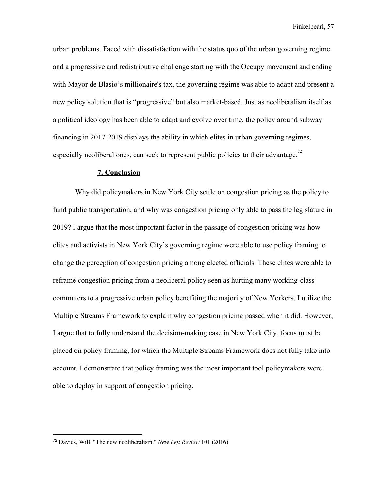urban problems. Faced with dissatisfaction with the status quo of the urban governing regime and a progressive and redistributive challenge starting with the Occupy movement and ending with Mayor de Blasio's millionaire's tax, the governing regime was able to adapt and present a new policy solution that is "progressive" but also market-based. Just as neoliberalism itself as a political ideology has been able to adapt and evolve over time, the policy around subway financing in 2017-2019 displays the ability in which elites in urban governing regimes, especially neoliberal ones, can seek to represent public policies to their advantage.<sup>72</sup>

#### **7. Conclusion**

Why did policymakers in New York City settle on congestion pricing as the policy to fund public transportation, and why was congestion pricing only able to pass the legislature in 2019? I argue that the most important factor in the passage of congestion pricing was how elites and activists in New York City's governing regime were able to use policy framing to change the perception of congestion pricing among elected officials. These elites were able to reframe congestion pricing from a neoliberal policy seen as hurting many working-class commuters to a progressive urban policy benefiting the majority of New Yorkers. I utilize the Multiple Streams Framework to explain why congestion pricing passed when it did. However, I argue that to fully understand the decision-making case in New York City, focus must be placed on policy framing, for which the Multiple Streams Framework does not fully take into account. I demonstrate that policy framing was the most important tool policymakers were able to deploy in support of congestion pricing.

<sup>72</sup> Davies, Will. "The new neoliberalism." *New Left Review* 101 (2016).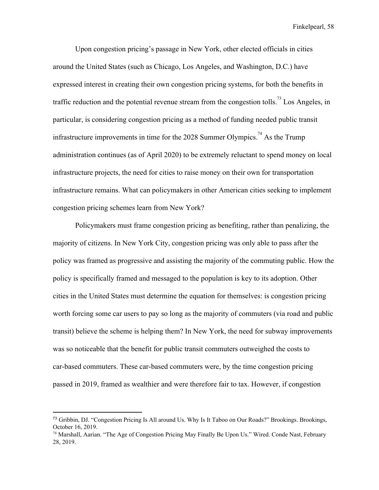Upon congestion pricing's passage in New York, other elected officials in cities around the United States (such as Chicago, Los Angeles, and Washington, D.C.) have expressed interest in creating their own congestion pricing systems, for both the benefits in traffic reduction and the potential revenue stream from the congestion tolls.<sup>73</sup> Los Angeles, in particular, is considering congestion pricing as a method of funding needed public transit infrastructure improvements in time for the 2028 Summer Olympics.<sup>74</sup> As the Trump administration continues (as of April 2020) to be extremely reluctant to spend money on local infrastructure projects, the need for cities to raise money on their own for transportation infrastructure remains. What can policymakers in other American cities seeking to implement congestion pricing schemes learn from New York?

Policymakers must frame congestion pricing as benefiting, rather than penalizing, the majority of citizens. In New York City, congestion pricing was only able to pass after the policy was framed as progressive and assisting the majority of the commuting public. How the policy is specifically framed and messaged to the population is key to its adoption. Other cities in the United States must determine the equation for themselves: is congestion pricing worth forcing some car users to pay so long as the majority of commuters (via road and public transit) believe the scheme is helping them? In New York, the need for subway improvements was so noticeable that the benefit for public transit commuters outweighed the costs to car-based commuters. These car-based commuters were, by the time congestion pricing passed in 2019, framed as wealthier and were therefore fair to tax. However, if congestion

<sup>73</sup> Gribbin, DJ. "Congestion Pricing Is All around Us. Why Is It Taboo on Our Roads?" Brookings. Brookings, October 16, 2019.

<sup>74</sup> Marshall, Aarian. "The Age of Congestion Pricing May Finally Be Upon Us." Wired. Conde Nast, February 28, 2019.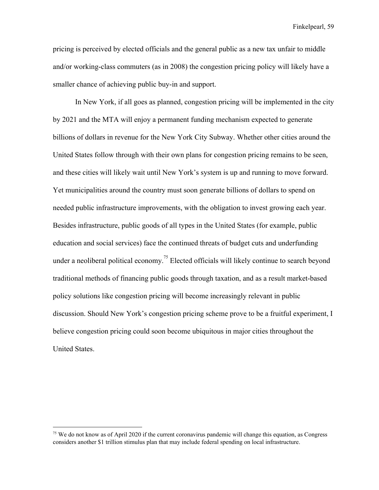pricing is perceived by elected officials and the general public as a new tax unfair to middle and/or working-class commuters (as in 2008) the congestion pricing policy will likely have a smaller chance of achieving public buy-in and support.

In New York, if all goes as planned, congestion pricing will be implemented in the city by 2021 and the MTA will enjoy a permanent funding mechanism expected to generate billions of dollars in revenue for the New York City Subway. Whether other cities around the United States follow through with their own plans for congestion pricing remains to be seen, and these cities will likely wait until New York's system is up and running to move forward. Yet municipalities around the country must soon generate billions of dollars to spend on needed public infrastructure improvements, with the obligation to invest growing each year. Besides infrastructure, public goods of all types in the United States (for example, public education and social services) face the continued threats of budget cuts and underfunding under a neoliberal political economy.<sup>75</sup> Elected officials will likely continue to search beyond traditional methods of financing public goods through taxation, and as a result market-based policy solutions like congestion pricing will become increasingly relevant in public discussion. Should New York's congestion pricing scheme prove to be a fruitful experiment, I believe congestion pricing could soon become ubiquitous in major cities throughout the United States.

<sup>&</sup>lt;sup>75</sup> We do not know as of April 2020 if the current coronavirus pandemic will change this equation, as Congress considers another \$1 trillion stimulus plan that may include federal spending on local infrastructure.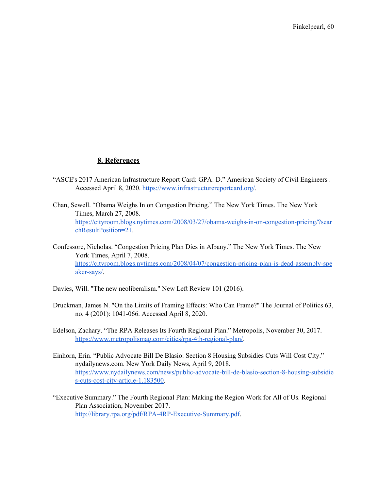## **8. References**

- "ASCE's 2017 American Infrastructure Report Card: GPA: D." American Society of Civil Engineers . Accessed April 8, 2020. <https://www.infrastructurereportcard.org/>.
- Chan, Sewell. "Obama Weighs In on Congestion Pricing." The New York Times. The New York Times, March 27, 2008. [https://cityroom.blogs.nytimes.com/2008/03/27/obama-weighs-in-on-congestion-pricing/?sear](https://cityroom.blogs.nytimes.com/2008/03/27/obama-weighs-in-on-congestion-pricing/?searchResultPosition=21) [chResultPosition=21](https://cityroom.blogs.nytimes.com/2008/03/27/obama-weighs-in-on-congestion-pricing/?searchResultPosition=21).
- Confessore, Nicholas. "Congestion Pricing Plan Dies in Albany." The New York Times. The New York Times, April 7, 2008. [https://cityroom.blogs.nytimes.com/2008/04/07/congestion-pricing-plan-is-dead-assembly-spe](https://cityroom.blogs.nytimes.com/2008/04/07/congestion-pricing-plan-is-dead-assembly-speaker-says/) [aker-says/](https://cityroom.blogs.nytimes.com/2008/04/07/congestion-pricing-plan-is-dead-assembly-speaker-says/).
- Davies, Will. "The new neoliberalism." New Left Review 101 (2016).
- Druckman, James N. "On the Limits of Framing Effects: Who Can Frame?" The Journal of Politics 63, no. 4 (2001): 1041-066. Accessed April 8, 2020.
- Edelson, Zachary. "The RPA Releases Its Fourth Regional Plan." Metropolis, November 30, 2017. <https://www.metropolismag.com/cities/rpa-4th-regional-plan/>.
- Einhorn, Erin. "Public Advocate Bill De Blasio: Section 8 Housing Subsidies Cuts Will Cost City." nydailynews.com. New York Daily News, April 9, 2018. [https://www.nydailynews.com/news/public-advocate-bill-de-blasio-section-8-housing-subsidie](https://www.nydailynews.com/news/public-advocate-bill-de-blasio-section-8-housing-subsidies-cuts-cost-city-article-1.183500) [s-cuts-cost-city-article-1.183500.](https://www.nydailynews.com/news/public-advocate-bill-de-blasio-section-8-housing-subsidies-cuts-cost-city-article-1.183500)
- "Executive Summary." The Fourth Regional Plan: Making the Region Work for All of Us. Regional Plan Association, November 2017. [http://library.rpa.org/pdf/RPA-4RP-Executive-Summary.pdf.](http://library.rpa.org/pdf/RPA-4RP-Executive-Summary.pdf)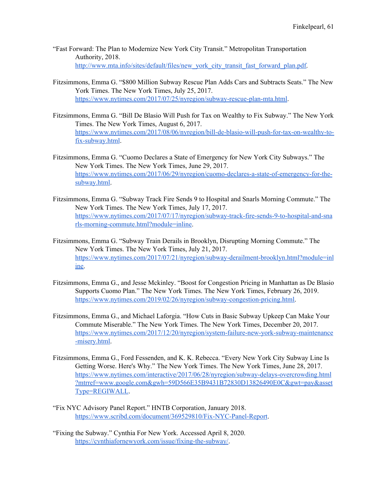- "Fast Forward: The Plan to Modernize New York City Transit." Metropolitan Transportation Authority, 2018. [http://www.mta.info/sites/default/files/new\\_york\\_city\\_transit\\_fast\\_forward\\_plan.pdf.](http://www.mta.info/sites/default/files/new_york_city_transit_fast_forward_plan.pdf)
- Fitzsimmons, Emma G. "\$800 Million Subway Rescue Plan Adds Cars and Subtracts Seats." The New York Times. The New York Times, July 25, 2017. <https://www.nytimes.com/2017/07/25/nyregion/subway-rescue-plan-mta.html>.
- Fitzsimmons, Emma G. "Bill De Blasio Will Push for Tax on Wealthy to Fix Subway." The New York Times. The New York Times, August 6, 2017. [https://www.nytimes.com/2017/08/06/nyregion/bill-de-blasio-will-push-for-tax-on-wealthy-to](https://www.nytimes.com/2017/08/06/nyregion/bill-de-blasio-will-push-for-tax-on-wealthy-to-fix-subway.html)[fix-subway.html.](https://www.nytimes.com/2017/08/06/nyregion/bill-de-blasio-will-push-for-tax-on-wealthy-to-fix-subway.html)
- Fitzsimmons, Emma G. "Cuomo Declares a State of Emergency for New York City Subways." The New York Times. The New York Times, June 29, 2017. [https://www.nytimes.com/2017/06/29/nyregion/cuomo-declares-a-state-of-emergency-for-the](https://www.nytimes.com/2017/06/29/nyregion/cuomo-declares-a-state-of-emergency-for-the-subway.html)[subway.html.](https://www.nytimes.com/2017/06/29/nyregion/cuomo-declares-a-state-of-emergency-for-the-subway.html)
- Fitzsimmons, Emma G. "Subway Track Fire Sends 9 to Hospital and Snarls Morning Commute." The New York Times. The New York Times, July 17, 2017. [https://www.nytimes.com/2017/07/17/nyregion/subway-track-fire-sends-9-to-hospital-and-sna](https://www.nytimes.com/2017/07/17/nyregion/subway-track-fire-sends-9-to-hospital-and-snarls-morning-commute.html?module=inline) [rls-morning-commute.html?module=inline.](https://www.nytimes.com/2017/07/17/nyregion/subway-track-fire-sends-9-to-hospital-and-snarls-morning-commute.html?module=inline)
- Fitzsimmons, Emma G. "Subway Train Derails in Brooklyn, Disrupting Morning Commute." The New York Times. The New York Times, July 21, 2017. [https://www.nytimes.com/2017/07/21/nyregion/subway-derailment-brooklyn.html?module=inl](https://www.nytimes.com/2017/07/21/nyregion/subway-derailment-brooklyn.html?module=inline) [ine.](https://www.nytimes.com/2017/07/21/nyregion/subway-derailment-brooklyn.html?module=inline)
- Fitzsimmons, Emma G., and Jesse Mckinley. "Boost for Congestion Pricing in Manhattan as De Blasio Supports Cuomo Plan." The New York Times. The New York Times, February 26, 2019. [https://www.nytimes.com/2019/02/26/nyregion/subway-congestion-pricing.html.](https://www.nytimes.com/2019/02/26/nyregion/subway-congestion-pricing.html)
- Fitzsimmons, Emma G., and Michael Laforgia. "How Cuts in Basic Subway Upkeep Can Make Your Commute Miserable." The New York Times. The New York Times, December 20, 2017. [https://www.nytimes.com/2017/12/20/nyregion/system-failure-new-york-subway-maintenance](https://www.nytimes.com/2017/12/20/nyregion/system-failure-new-york-subway-maintenance-misery.html) [-misery.html.](https://www.nytimes.com/2017/12/20/nyregion/system-failure-new-york-subway-maintenance-misery.html)
- Fitzsimmons, Emma G., Ford Fessenden, and K. K. Rebecca. "Every New York City Subway Line Is Getting Worse. Here's Why." The New York Times. The New York Times, June 28, 2017. [https://www.nytimes.com/interactive/2017/06/28/nyregion/subway-delays-overcrowding.html](https://www.nytimes.com/interactive/2017/06/28/nyregion/subway-delays-overcrowding.html?mtrref=www.google.com&gwh=59D566E35B9431B72830D13826490E0C&gwt=pay&assetType=REGIWALL) [?mtrref=www.google.com&gwh=59D566E35B9431B72830D13826490E0C&gwt=pay&asset](https://www.nytimes.com/interactive/2017/06/28/nyregion/subway-delays-overcrowding.html?mtrref=www.google.com&gwh=59D566E35B9431B72830D13826490E0C&gwt=pay&assetType=REGIWALL) [Type=REGIWALL.](https://www.nytimes.com/interactive/2017/06/28/nyregion/subway-delays-overcrowding.html?mtrref=www.google.com&gwh=59D566E35B9431B72830D13826490E0C&gwt=pay&assetType=REGIWALL)
- "Fix NYC Advisory Panel Report." HNTB Corporation, January 2018. <https://www.scribd.com/document/369529810/Fix-NYC-Panel-Report>.
- "Fixing the Subway." Cynthia For New York. Accessed April 8, 2020. <https://cynthiafornewyork.com/issue/fixing-the-subway/>.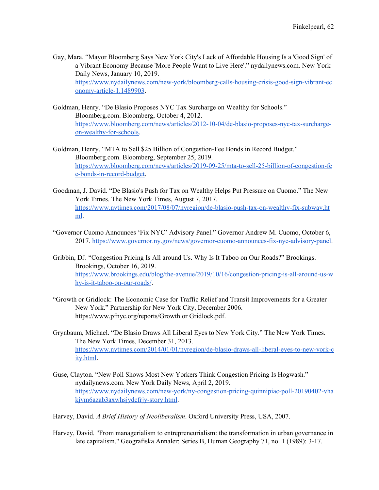- Gay, Mara. "Mayor Bloomberg Says New York City's Lack of Affordable Housing Is a 'Good Sign' of a Vibrant Economy Because 'More People Want to Live Here'." nydailynews.com. New York Daily News, January 10, 2019. [https://www.nydailynews.com/new-york/bloomberg-calls-housing-crisis-good-sign-vibrant-ec](https://www.nydailynews.com/new-york/bloomberg-calls-housing-crisis-good-sign-vibrant-economy-article-1.1489903) [onomy-article-1.1489903](https://www.nydailynews.com/new-york/bloomberg-calls-housing-crisis-good-sign-vibrant-economy-article-1.1489903).
- Goldman, Henry. "De Blasio Proposes NYC Tax Surcharge on Wealthy for Schools." Bloomberg.com. Bloomberg, October 4, 2012. [https://www.bloomberg.com/news/articles/2012-10-04/de-blasio-proposes-nyc-tax-surcharge](https://www.bloomberg.com/news/articles/2012-10-04/de-blasio-proposes-nyc-tax-surcharge-on-wealthy-for-schools)[on-wealthy-for-schools](https://www.bloomberg.com/news/articles/2012-10-04/de-blasio-proposes-nyc-tax-surcharge-on-wealthy-for-schools).
- Goldman, Henry. "MTA to Sell \$25 Billion of Congestion-Fee Bonds in Record Budget." Bloomberg.com. Bloomberg, September 25, 2019. [https://www.bloomberg.com/news/articles/2019-09-25/mta-to-sell-25-billion-of-congestion-fe](https://www.bloomberg.com/news/articles/2019-09-25/mta-to-sell-25-billion-of-congestion-fee-bonds-in-record-budget) [e-bonds-in-record-budget.](https://www.bloomberg.com/news/articles/2019-09-25/mta-to-sell-25-billion-of-congestion-fee-bonds-in-record-budget)
- Goodman, J. David. "De Blasio's Push for Tax on Wealthy Helps Put Pressure on Cuomo." The New York Times. The New York Times, August 7, 2017. [https://www.nytimes.com/2017/08/07/nyregion/de-blasio-push-tax-on-wealthy-fix-subway.ht](https://www.nytimes.com/2017/08/07/nyregion/de-blasio-push-tax-on-wealthy-fix-subway.html) [ml](https://www.nytimes.com/2017/08/07/nyregion/de-blasio-push-tax-on-wealthy-fix-subway.html).
- "Governor Cuomo Announces 'Fix NYC' Advisory Panel." Governor Andrew M. Cuomo, October 6, 2017. [https://www.governor.ny.gov/news/governor-cuomo-announces-fix-nyc-advisory-panel.](https://www.governor.ny.gov/news/governor-cuomo-announces-fix-nyc-advisory-panel)
- Gribbin, DJ. "Congestion Pricing Is All around Us. Why Is It Taboo on Our Roads?" Brookings. Brookings, October 16, 2019. [https://www.brookings.edu/blog/the-avenue/2019/10/16/congestion-pricing-is-all-around-us-w](https://www.brookings.edu/blog/the-avenue/2019/10/16/congestion-pricing-is-all-around-us-why-is-it-taboo-on-our-roads/) [hy-is-it-taboo-on-our-roads/](https://www.brookings.edu/blog/the-avenue/2019/10/16/congestion-pricing-is-all-around-us-why-is-it-taboo-on-our-roads/).
- "Growth or Gridlock: The Economic Case for Traffic Relief and Transit Improvements for a Greater New York." Partnership for New York City, December 2006. https://www.pfnyc.org/reports/Growth or Gridlock.pdf.
- Grynbaum, Michael. "De Blasio Draws All Liberal Eyes to New York City." The New York Times. The New York Times, December 31, 2013. [https://www.nytimes.com/2014/01/01/nyregion/de-blasio-draws-all-liberal-eyes-to-new-york-c](https://www.nytimes.com/2014/01/01/nyregion/de-blasio-draws-all-liberal-eyes-to-new-york-city.html) [ity.html](https://www.nytimes.com/2014/01/01/nyregion/de-blasio-draws-all-liberal-eyes-to-new-york-city.html).
- Guse, Clayton. "New Poll Shows Most New Yorkers Think Congestion Pricing Is Hogwash." nydailynews.com. New York Daily News, April 2, 2019. [https://www.nydailynews.com/new-york/ny-congestion-pricing-quinnipiac-poll-20190402-vha](https://www.nydailynews.com/new-york/ny-congestion-pricing-quinnipiac-poll-20190402-vhakjvm6azab3axwhsjydcfrjy-story.html) [kjvm6azab3axwhsjydcfrjy-story.html](https://www.nydailynews.com/new-york/ny-congestion-pricing-quinnipiac-poll-20190402-vhakjvm6azab3axwhsjydcfrjy-story.html).
- Harvey, David. *A Brief History of Neoliberalism*. Oxford University Press, USA, 2007.
- Harvey, David. "From managerialism to entrepreneurialism: the transformation in urban governance in late capitalism." Geografiska Annaler: Series B, Human Geography 71, no. 1 (1989): 3-17.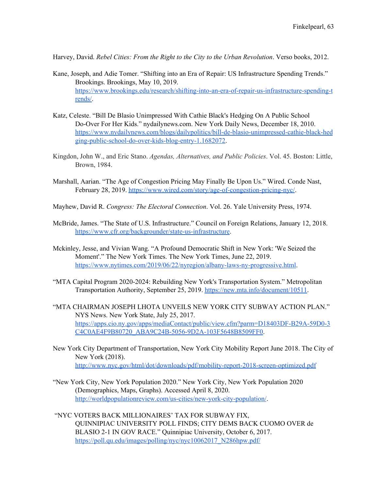Harvey, David. *Rebel Cities: From the Right to the City to the Urban Revolution*. Verso books, 2012.

- Kane, Joseph, and Adie Tomer. "Shifting into an Era of Repair: US Infrastructure Spending Trends." Brookings. Brookings, May 10, 2019. [https://www.brookings.edu/research/shifting-into-an-era-of-repair-us-infrastructure-spending-t](https://www.brookings.edu/research/shifting-into-an-era-of-repair-us-infrastructure-spending-trends/) [rends/](https://www.brookings.edu/research/shifting-into-an-era-of-repair-us-infrastructure-spending-trends/).
- Katz, Celeste. "Bill De Blasio Unimpressed With Cathie Black's Hedging On A Public School Do-Over For Her Kids." nydailynews.com. New York Daily News, December 18, 2010. [https://www.nydailynews.com/blogs/dailypolitics/bill-de-blasio-unimpressed-cathie-black-hed](https://www.nydailynews.com/blogs/dailypolitics/bill-de-blasio-unimpressed-cathie-black-hedging-public-school-do-over-kids-blog-entry-1.1682072) [ging-public-school-do-over-kids-blog-entry-1.1682072](https://www.nydailynews.com/blogs/dailypolitics/bill-de-blasio-unimpressed-cathie-black-hedging-public-school-do-over-kids-blog-entry-1.1682072).
- Kingdon, John W., and Eric Stano. *Agendas, Alternatives, and Public Policies*. Vol. 45. Boston: Little, Brown, 1984.
- Marshall, Aarian. "The Age of Congestion Pricing May Finally Be Upon Us." Wired. Conde Nast, February 28, 2019. <https://www.wired.com/story/age-of-congestion-pricing-nyc/>.
- Mayhew, David R. *Congress: The Electoral Connection*. Vol. 26. Yale University Press, 1974.
- McBride, James. "The State of U.S. Infrastructure." Council on Foreign Relations, January 12, 2018. <https://www.cfr.org/backgrounder/state-us-infrastructure>.
- Mckinley, Jesse, and Vivian Wang. "A Profound Democratic Shift in New York: 'We Seized the Moment'." The New York Times. The New York Times, June 22, 2019. <https://www.nytimes.com/2019/06/22/nyregion/albany-laws-ny-progressive.html>.
- "MTA Capital Program 2020-2024: Rebuilding New York's Transportation System." Metropolitan Transportation Authority, September 25, 2019. <https://new.mta.info/document/10511>.
- "MTA CHAIRMAN JOSEPH LHOTA UNVEILS NEW YORK CITY SUBWAY ACTION PLAN." NYS News. New York State, July 25, 2017. [https://apps.cio.ny.gov/apps/mediaContact/public/view.cfm?parm=D18403DF-B29A-59D0-3](https://apps.cio.ny.gov/apps/mediaContact/public/view.cfm?parm=D18403DF-B29A-59D0-3C4C0AE4F9B80720_ABA9C24B-5056-9D2A-103F5648B8509FF0) [C4C0AE4F9B80720\\_ABA9C24B-5056-9D2A-103F5648B8509FF0](https://apps.cio.ny.gov/apps/mediaContact/public/view.cfm?parm=D18403DF-B29A-59D0-3C4C0AE4F9B80720_ABA9C24B-5056-9D2A-103F5648B8509FF0).
- New York City Department of Transportation, New York City Mobility Report June 2018. The City of New York (2018). <http://www.nyc.gov/html/dot/downloads/pdf/mobility-report-2018-screen-optimized.pdf>
- "New York City, New York Population 2020." New York City, New York Population 2020 (Demographics, Maps, Graphs). Accessed April 8, 2020. <http://worldpopulationreview.com/us-cities/new-york-city-population/>.
- "NYC VOTERS BACK MILLIONAIRES' TAX FOR SUBWAY FIX, QUINNIPIAC UNIVERSITY POLL FINDS; CITY DEMS BACK CUOMO OVER de BLASIO 2-1 IN GOV RACE." Quinnipiac University, October 6, 2017. [https://poll.qu.edu/images/polling/nyc/nyc10062017\\_N286hpw.pdf/](https://poll.qu.edu/images/polling/nyc/nyc10062017_N286hpw.pdf/)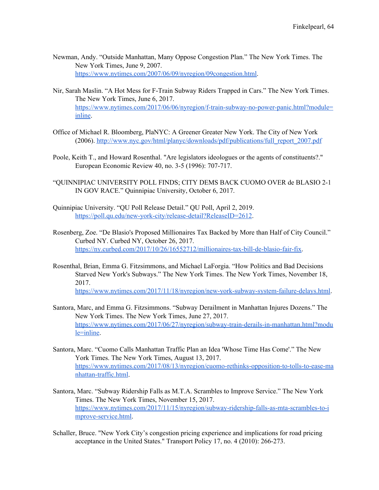- Newman, Andy. "Outside Manhattan, Many Oppose Congestion Plan." The New York Times. The New York Times, June 9, 2007. [https://www.nytimes.com/2007/06/09/nyregion/09congestion.html.](https://www.nytimes.com/2007/06/09/nyregion/09congestion.html)
- Nir, Sarah Maslin. "A Hot Mess for F-Train Subway Riders Trapped in Cars." The New York Times. The New York Times, June 6, 2017. [https://www.nytimes.com/2017/06/06/nyregion/f-train-subway-no-power-panic.html?module=](https://www.nytimes.com/2017/06/06/nyregion/f-train-subway-no-power-panic.html?module=inline) [inline](https://www.nytimes.com/2017/06/06/nyregion/f-train-subway-no-power-panic.html?module=inline).
- Office of Michael R. Bloomberg, PlaNYC: A Greener Greater New York. The City of New York (2006). [http://www.nyc.gov/html/planyc/downloads/pdf/publications/full\\_report\\_2007.pdf](http://www.nyc.gov/html/planyc/downloads/pdf/publications/full_report_2007.pdf)
- Poole, Keith T., and Howard Rosenthal. "Are legislators ideologues or the agents of constituents?." European Economic Review 40, no. 3-5 (1996): 707-717.
- "QUINNIPIAC UNIVERSITY POLL FINDS; CITY DEMS BACK CUOMO OVER de BLASIO 2-1 IN GOV RACE." Quinnipiac University, October 6, 2017.
- Quinnipiac University. "QU Poll Release Detail." QU Poll, April 2, 2019. <https://poll.qu.edu/new-york-city/release-detail?ReleaseID=2612>.
- Rosenberg, Zoe. "De Blasio's Proposed Millionaires Tax Backed by More than Half of City Council." Curbed NY. Curbed NY, October 26, 2017. [https://ny.curbed.com/2017/10/26/16552712/millionaires-tax-bill-de-blasio-fair-fix.](https://ny.curbed.com/2017/10/26/16552712/millionaires-tax-bill-de-blasio-fair-fix)
- Rosenthal, Brian, Emma G. Fitzsimmons, and Michael LaForgia. "How Politics and Bad Decisions Starved New York's Subways." The New York Times. The New York Times, November 18, 2017. [https://www.nytimes.com/2017/11/18/nyregion/new-york-subway-system-failure-delays.html.](https://www.nytimes.com/2017/11/18/nyregion/new-york-subway-system-failure-delays.html)
- Santora, Marc, and Emma G. Fitzsimmons. "Subway Derailment in Manhattan Injures Dozens." The New York Times. The New York Times, June 27, 2017. [https://www.nytimes.com/2017/06/27/nyregion/subway-train-derails-in-manhattan.html?modu](https://www.nytimes.com/2017/06/27/nyregion/subway-train-derails-in-manhattan.html?module=inline) [le=inline](https://www.nytimes.com/2017/06/27/nyregion/subway-train-derails-in-manhattan.html?module=inline).
- Santora, Marc. "Cuomo Calls Manhattan Traffic Plan an Idea 'Whose Time Has Come'." The New York Times. The New York Times, August 13, 2017. [https://www.nytimes.com/2017/08/13/nyregion/cuomo-rethinks-opposition-to-tolls-to-ease-ma](https://www.nytimes.com/2017/08/13/nyregion/cuomo-rethinks-opposition-to-tolls-to-ease-manhattan-traffic.html) [nhattan-traffic.html](https://www.nytimes.com/2017/08/13/nyregion/cuomo-rethinks-opposition-to-tolls-to-ease-manhattan-traffic.html).
- Santora, Marc. "Subway Ridership Falls as M.T.A. Scrambles to Improve Service." The New York Times. The New York Times, November 15, 2017. [https://www.nytimes.com/2017/11/15/nyregion/subway-ridership-falls-as-mta-scrambles-to-i](https://www.nytimes.com/2017/11/15/nyregion/subway-ridership-falls-as-mta-scrambles-to-improve-service.html) [mprove-service.html.](https://www.nytimes.com/2017/11/15/nyregion/subway-ridership-falls-as-mta-scrambles-to-improve-service.html)
- Schaller, Bruce. "New York City's congestion pricing experience and implications for road pricing acceptance in the United States." Transport Policy 17, no. 4 (2010): 266-273.